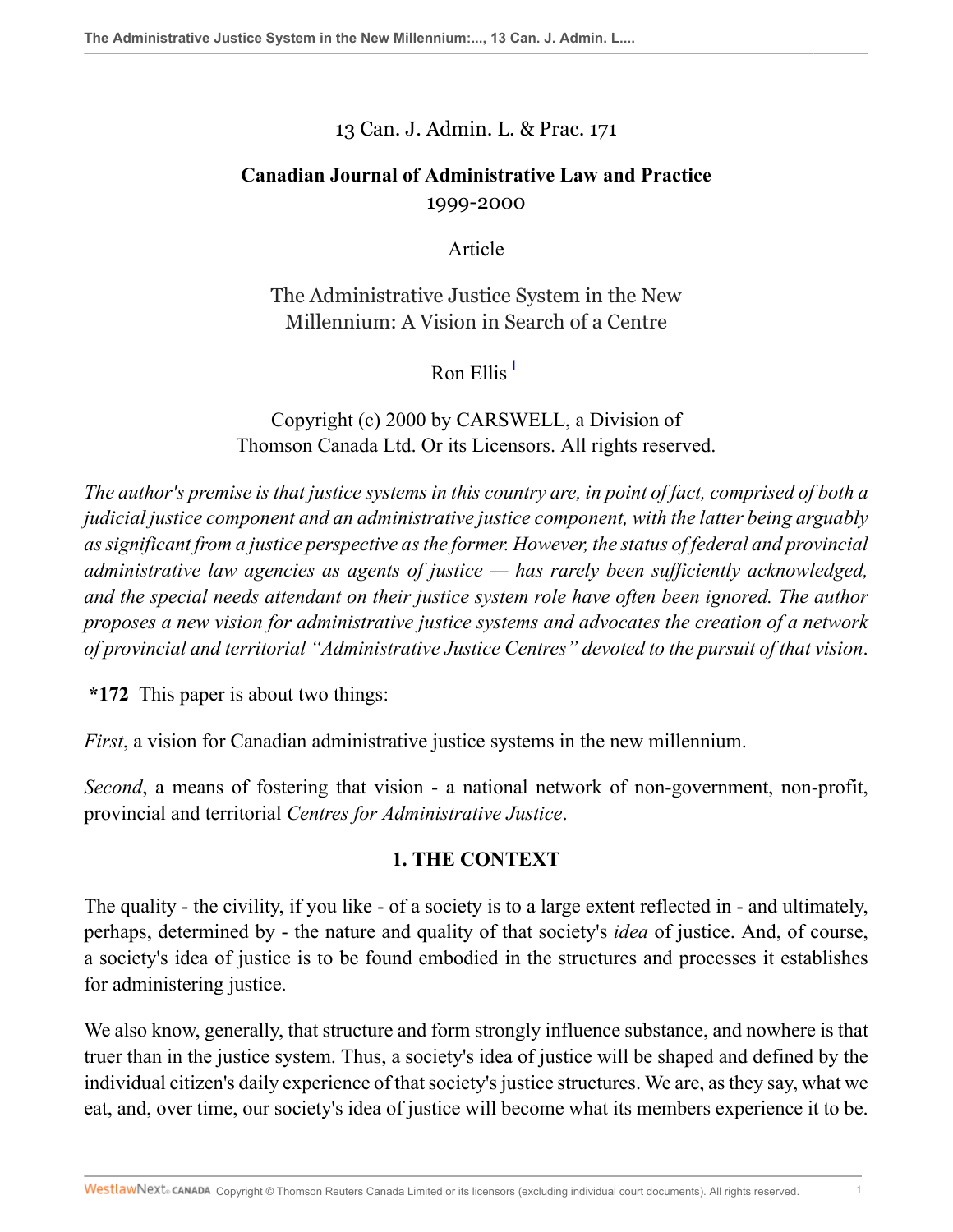### 13 Can. J. Admin. L. & Prac. 171

# **Canadian Journal of Administrative Law and Practice** 1999-2000

Article

The Administrative Justice System in the New Millennium: A Vision in Search of a Centre

<span id="page-0-0"></span>Ron Ellis  $<sup>1</sup>$  $<sup>1</sup>$  $<sup>1</sup>$ </sup>

Copyright (c) 2000 by CARSWELL, a Division of Thomson Canada Ltd. Or its Licensors. All rights reserved.

*The author's premise is that justice systems in this country are, in point of fact, comprised of both a judicial justice component and an administrative justice component, with the latter being arguably as significant from a justice perspective as the former. However, the status of federal and provincial administrative law agencies as agents of justice — has rarely been sufficiently acknowledged, and the special needs attendant on their justice system role have often been ignored. The author proposes a new vision for administrative justice systems and advocates the creation of a network of provincial and territorial "Administrative Justice Centres" devoted to the pursuit of that vision*.

**\*172** This paper is about two things:

*First*, a vision for Canadian administrative justice systems in the new millennium.

*Second*, a means of fostering that vision - a national network of non-government, non-profit, provincial and territorial *Centres for Administrative Justice*.

## **1. THE CONTEXT**

The quality - the civility, if you like - of a society is to a large extent reflected in - and ultimately, perhaps, determined by - the nature and quality of that society's *idea* of justice. And, of course, a society's idea of justice is to be found embodied in the structures and processes it establishes for administering justice.

We also know, generally, that structure and form strongly influence substance, and nowhere is that truer than in the justice system. Thus, a society's idea of justice will be shaped and defined by the individual citizen's daily experience of that society's justice structures. We are, as they say, what we eat, and, over time, our society's idea of justice will become what its members experience it to be.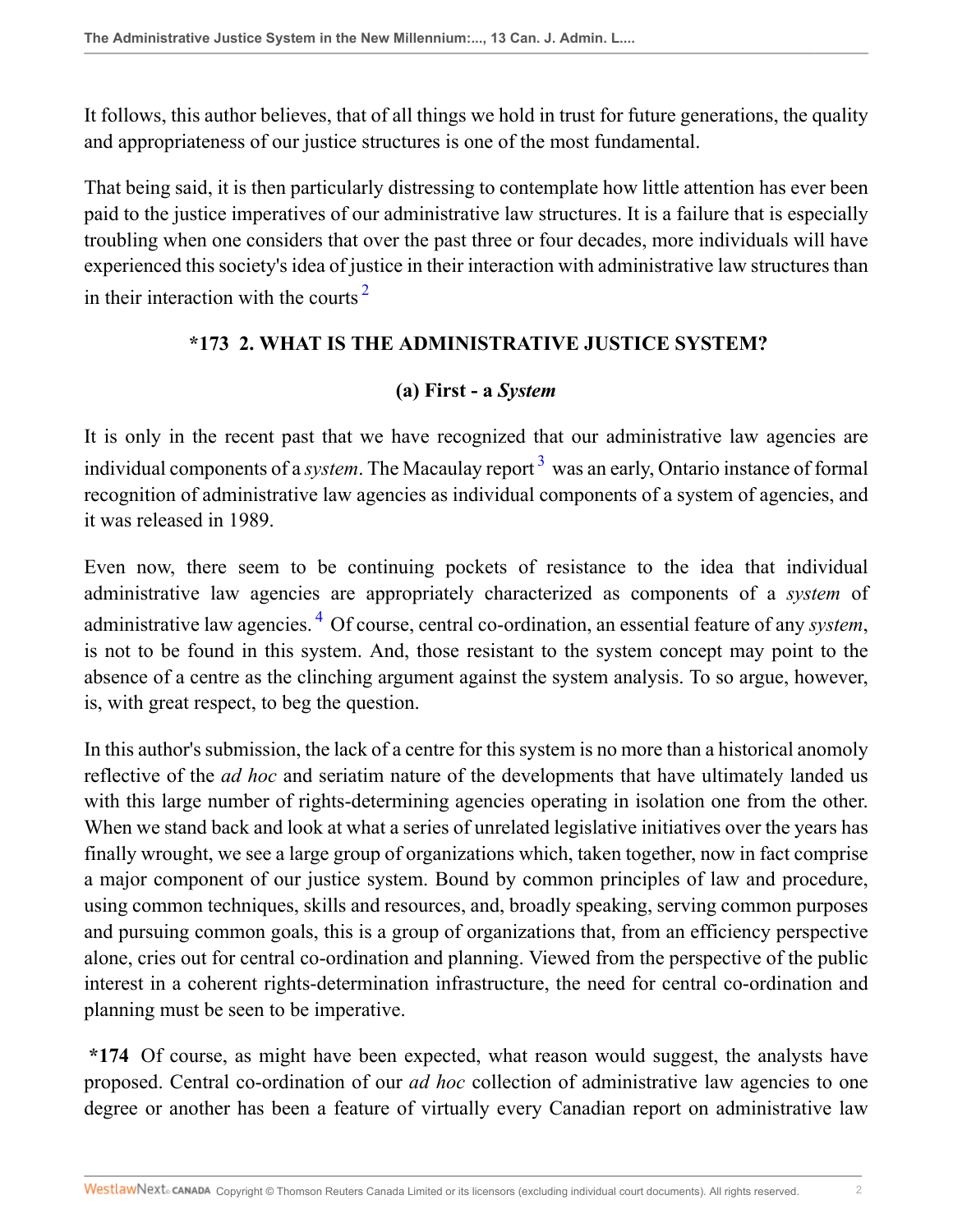It follows, this author believes, that of all things we hold in trust for future generations, the quality and appropriateness of our justice structures is one of the most fundamental.

That being said, it is then particularly distressing to contemplate how little attention has ever been paid to the justice imperatives of our administrative law structures. It is a failure that is especially troubling when one considers that over the past three or four decades, more individuals will have experienced this society's idea of justice in their interaction with administrative law structures than in their interaction with the courts<sup> $2$ </sup>

### **\*173 2. WHAT IS THE ADMINISTRATIVE JUSTICE SYSTEM?**

#### <span id="page-1-1"></span><span id="page-1-0"></span>**(a) First - a** *System*

It is only in the recent past that we have recognized that our administrative law agencies are individual components of a *system*. The Macaulay report <sup>[3](#page-32-0)</sup> was an early, Ontario instance of formal recognition of administrative law agencies as individual components of a system of agencies, and it was released in 1989.

<span id="page-1-2"></span>Even now, there seem to be continuing pockets of resistance to the idea that individual administrative law agencies are appropriately characterized as components of a *system* of administrative law agencies. [4](#page-32-1) Of course, central co-ordination, an essential feature of any *system*, is not to be found in this system. And, those resistant to the system concept may point to the absence of a centre as the clinching argument against the system analysis. To so argue, however, is, with great respect, to beg the question.

In this author's submission, the lack of a centre for this system is no more than a historical anomoly reflective of the *ad hoc* and seriatim nature of the developments that have ultimately landed us with this large number of rights-determining agencies operating in isolation one from the other. When we stand back and look at what a series of unrelated legislative initiatives over the years has finally wrought, we see a large group of organizations which, taken together, now in fact comprise a major component of our justice system. Bound by common principles of law and procedure, using common techniques, skills and resources, and, broadly speaking, serving common purposes and pursuing common goals, this is a group of organizations that, from an efficiency perspective alone, cries out for central co-ordination and planning. Viewed from the perspective of the public interest in a coherent rights-determination infrastructure, the need for central co-ordination and planning must be seen to be imperative.

**\*174** Of course, as might have been expected, what reason would suggest, the analysts have proposed. Central co-ordination of our *ad hoc* collection of administrative law agencies to one degree or another has been a feature of virtually every Canadian report on administrative law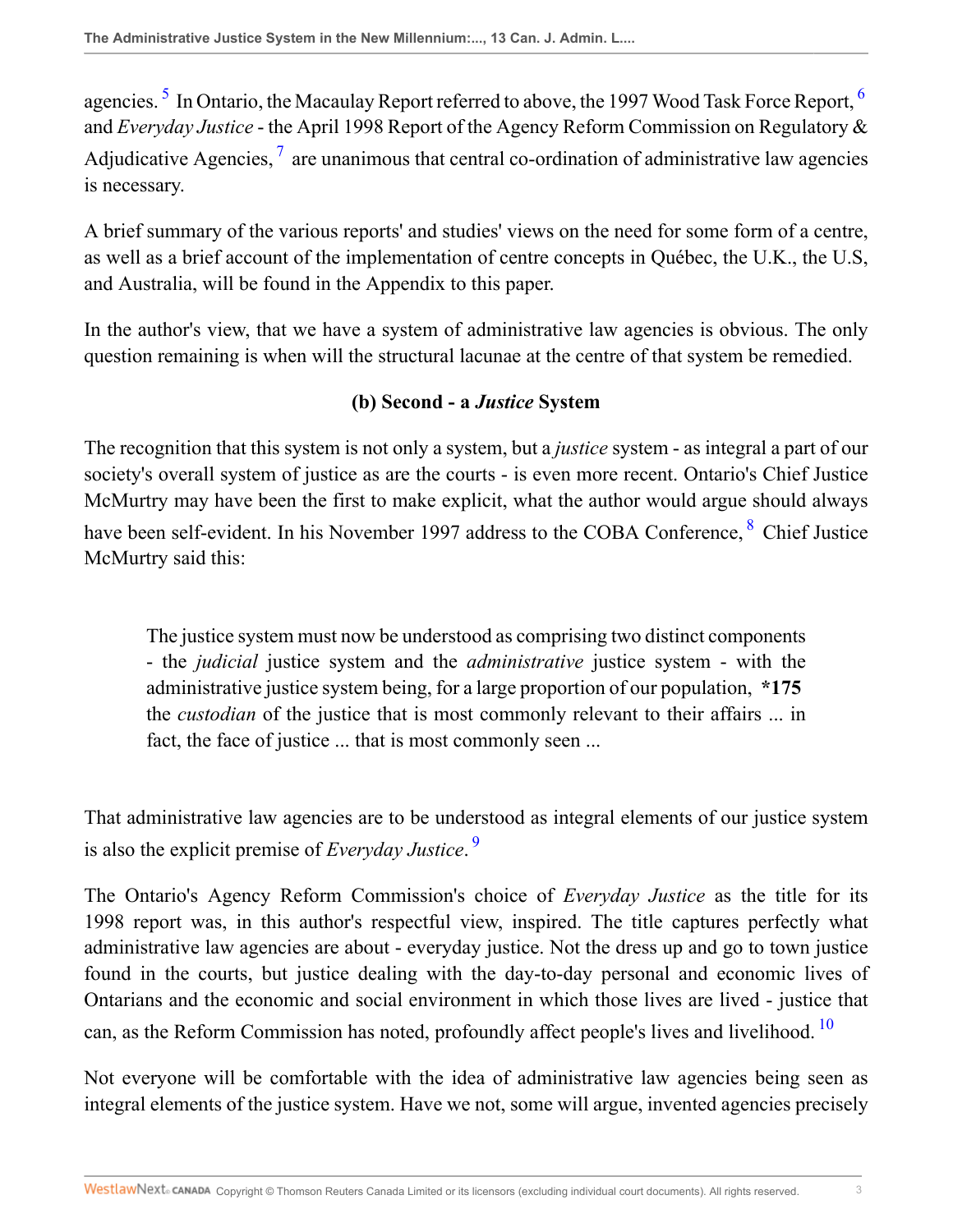<span id="page-2-2"></span><span id="page-2-0"></span>agencies.  $^5$  $^5$  In Ontario, the Macaulay Report referred to above, the 1997 Wood Task Force Report,  $^6$  $^6$ and *Everyday Justice* - the April 1998 Report of the Agency Reform Commission on Regulatory & Adjudicative Agencies,  $\frac{1}{2}$  are unanimous that central co-ordination of administrative law agencies is necessary.

A brief summary of the various reports' and studies' views on the need for some form of a centre, as well as a brief account of the implementation of centre concepts in Québec, the U.K., the U.S, and Australia, will be found in the Appendix to this paper.

In the author's view, that we have a system of administrative law agencies is obvious. The only question remaining is when will the structural lacunae at the centre of that system be remedied.

## <span id="page-2-3"></span><span id="page-2-1"></span>**(b) Second - a** *Justice* **System**

The recognition that this system is not only a system, but a *justice* system - as integral a part of our society's overall system of justice as are the courts - is even more recent. Ontario's Chief Justice McMurtry may have been the first to make explicit, what the author would argue should always have been self-evident. In his November 1997 address to the COBA Conference, <sup>[8](#page-32-5)</sup> Chief Justice McMurtry said this:

<span id="page-2-4"></span>The justice system must now be understood as comprising two distinct components - the *judicial* justice system and the *administrative* justice system - with the administrative justice system being, for a large proportion of our population, **\*175** the *custodian* of the justice that is most commonly relevant to their affairs ... in fact, the face of justice ... that is most commonly seen ...

That administrative law agencies are to be understood as integral elements of our justice system is also the explicit premise of *Everyday Justice*. [9](#page-32-6)

The Ontario's Agency Reform Commission's choice of *Everyday Justice* as the title for its 1998 report was, in this author's respectful view, inspired. The title captures perfectly what administrative law agencies are about - everyday justice. Not the dress up and go to town justice found in the courts, but justice dealing with the day-to-day personal and economic lives of Ontarians and the economic and social environment in which those lives are lived - justice that can, as the Reform Commission has noted, profoundly affect people's lives and livelihood.<sup>[10](#page-32-7)</sup>

<span id="page-2-5"></span>Not everyone will be comfortable with the idea of administrative law agencies being seen as integral elements of the justice system. Have we not, some will argue, invented agencies precisely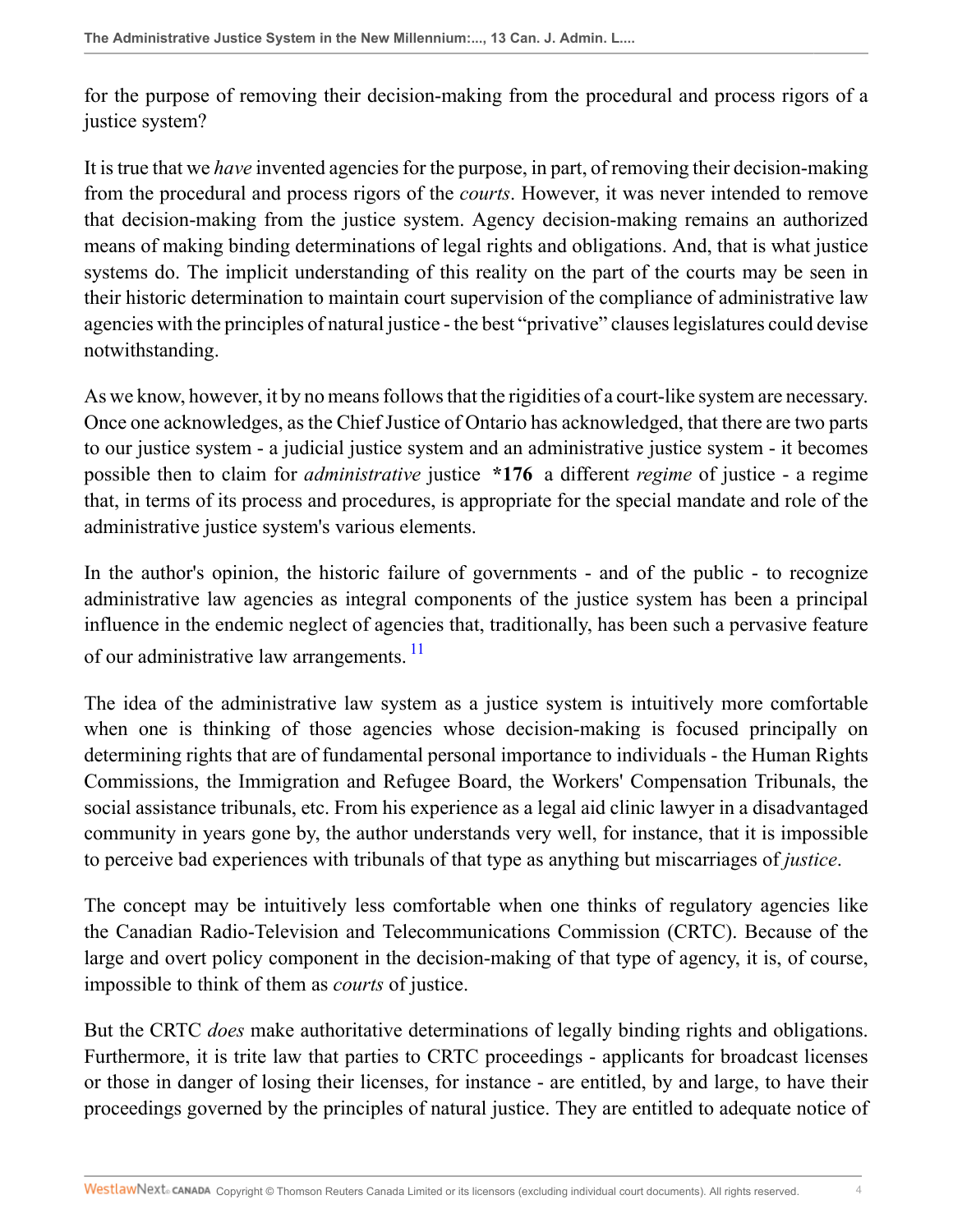for the purpose of removing their decision-making from the procedural and process rigors of a justice system?

It is true that we *have* invented agencies for the purpose, in part, of removing their decision-making from the procedural and process rigors of the *courts*. However, it was never intended to remove that decision-making from the justice system. Agency decision-making remains an authorized means of making binding determinations of legal rights and obligations. And, that is what justice systems do. The implicit understanding of this reality on the part of the courts may be seen in their historic determination to maintain court supervision of the compliance of administrative law agencies with the principles of natural justice - the best "privative" clauses legislatures could devise notwithstanding.

As we know, however, it by no means follows that the rigidities of a court-like system are necessary. Once one acknowledges, as the Chief Justice of Ontario has acknowledged, that there are two parts to our justice system - a judicial justice system and an administrative justice system - it becomes possible then to claim for *administrative* justice **\*176** a different *regime* of justice - a regime that, in terms of its process and procedures, is appropriate for the special mandate and role of the administrative justice system's various elements.

In the author's opinion, the historic failure of governments - and of the public - to recognize administrative law agencies as integral components of the justice system has been a principal influence in the endemic neglect of agencies that, traditionally, has been such a pervasive feature of our administrative law arrangements.<sup>[11](#page-32-8)</sup>

<span id="page-3-0"></span>The idea of the administrative law system as a justice system is intuitively more comfortable when one is thinking of those agencies whose decision-making is focused principally on determining rights that are of fundamental personal importance to individuals - the Human Rights Commissions, the Immigration and Refugee Board, the Workers' Compensation Tribunals, the social assistance tribunals, etc. From his experience as a legal aid clinic lawyer in a disadvantaged community in years gone by, the author understands very well, for instance, that it is impossible to perceive bad experiences with tribunals of that type as anything but miscarriages of *justice*.

The concept may be intuitively less comfortable when one thinks of regulatory agencies like the Canadian Radio-Television and Telecommunications Commission (CRTC). Because of the large and overt policy component in the decision-making of that type of agency, it is, of course, impossible to think of them as *courts* of justice.

But the CRTC *does* make authoritative determinations of legally binding rights and obligations. Furthermore, it is trite law that parties to CRTC proceedings - applicants for broadcast licenses or those in danger of losing their licenses, for instance - are entitled, by and large, to have their proceedings governed by the principles of natural justice. They are entitled to adequate notice of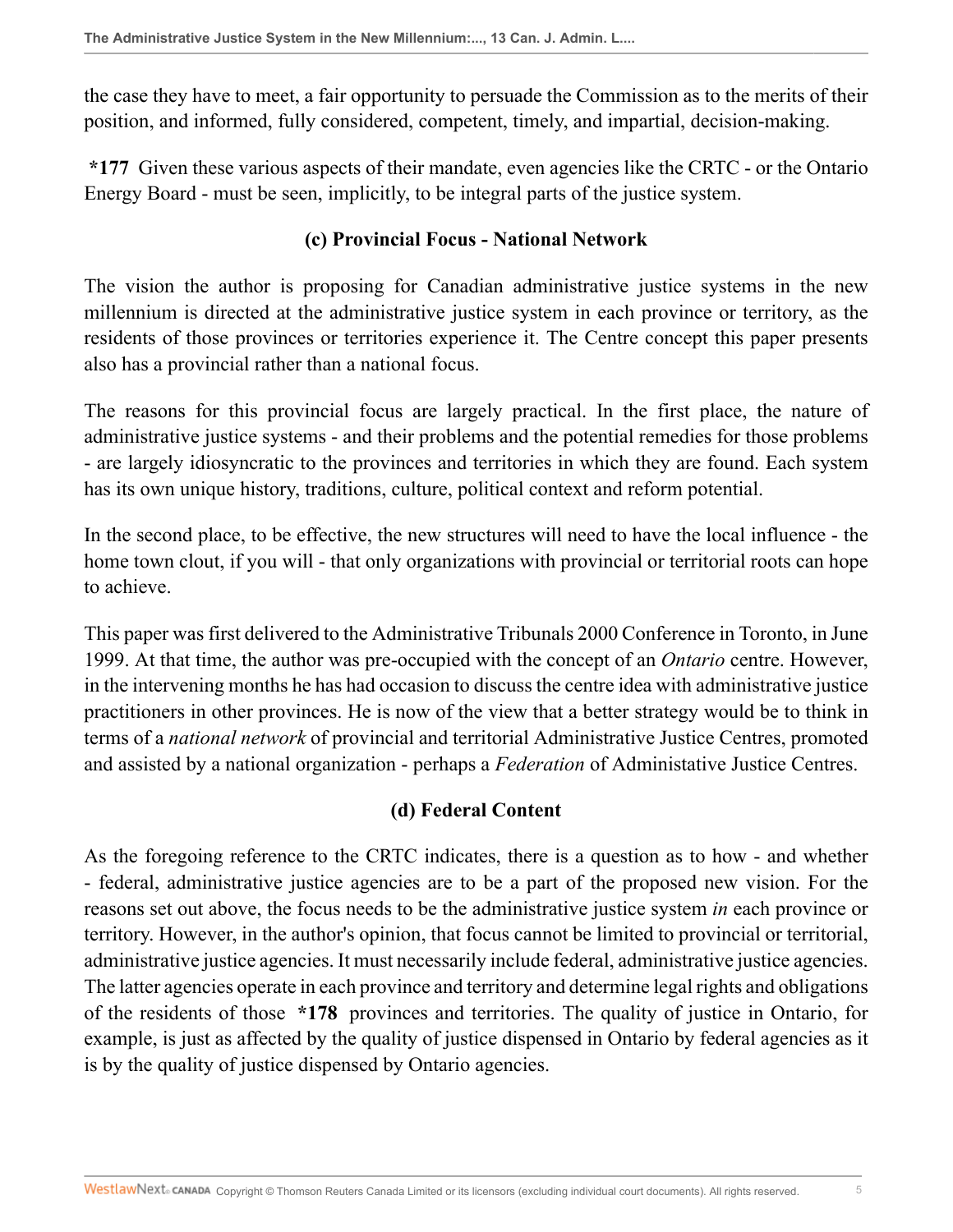the case they have to meet, a fair opportunity to persuade the Commission as to the merits of their position, and informed, fully considered, competent, timely, and impartial, decision-making.

**\*177** Given these various aspects of their mandate, even agencies like the CRTC - or the Ontario Energy Board - must be seen, implicitly, to be integral parts of the justice system.

### **(c) Provincial Focus - National Network**

The vision the author is proposing for Canadian administrative justice systems in the new millennium is directed at the administrative justice system in each province or territory, as the residents of those provinces or territories experience it. The Centre concept this paper presents also has a provincial rather than a national focus.

The reasons for this provincial focus are largely practical. In the first place, the nature of administrative justice systems - and their problems and the potential remedies for those problems - are largely idiosyncratic to the provinces and territories in which they are found. Each system has its own unique history, traditions, culture, political context and reform potential.

In the second place, to be effective, the new structures will need to have the local influence - the home town clout, if you will - that only organizations with provincial or territorial roots can hope to achieve.

This paper was first delivered to the Administrative Tribunals 2000 Conference in Toronto, in June 1999. At that time, the author was pre-occupied with the concept of an *Ontario* centre. However, in the intervening months he has had occasion to discuss the centre idea with administrative justice practitioners in other provinces. He is now of the view that a better strategy would be to think in terms of a *national network* of provincial and territorial Administrative Justice Centres, promoted and assisted by a national organization - perhaps a *Federation* of Administative Justice Centres.

## **(d) Federal Content**

As the foregoing reference to the CRTC indicates, there is a question as to how - and whether - federal, administrative justice agencies are to be a part of the proposed new vision. For the reasons set out above, the focus needs to be the administrative justice system *in* each province or territory. However, in the author's opinion, that focus cannot be limited to provincial or territorial, administrative justice agencies. It must necessarily include federal, administrative justice agencies. The latter agencies operate in each province and territory and determine legal rights and obligations of the residents of those **\*178** provinces and territories. The quality of justice in Ontario, for example, is just as affected by the quality of justice dispensed in Ontario by federal agencies as it is by the quality of justice dispensed by Ontario agencies.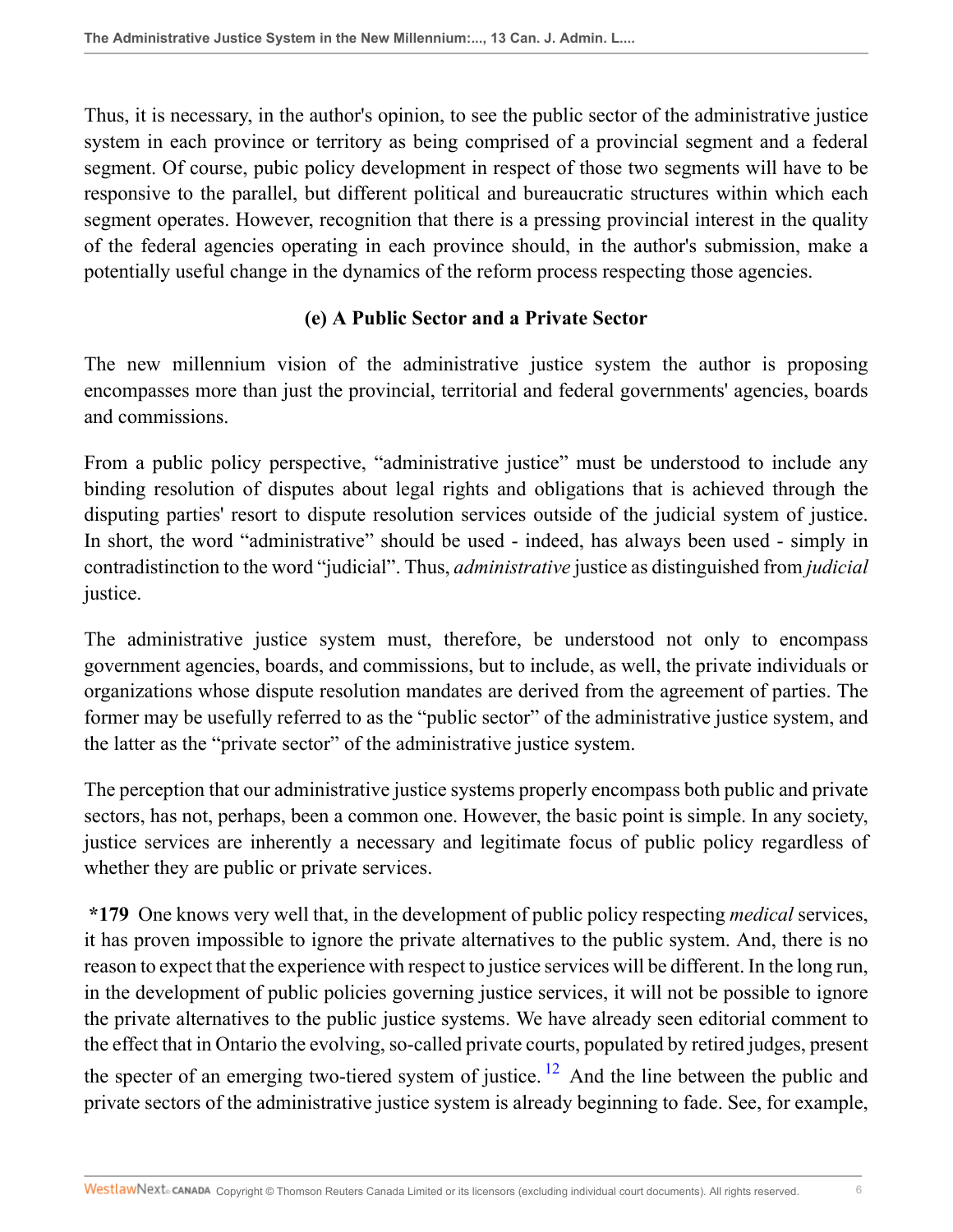Thus, it is necessary, in the author's opinion, to see the public sector of the administrative justice system in each province or territory as being comprised of a provincial segment and a federal segment. Of course, pubic policy development in respect of those two segments will have to be responsive to the parallel, but different political and bureaucratic structures within which each segment operates. However, recognition that there is a pressing provincial interest in the quality of the federal agencies operating in each province should, in the author's submission, make a potentially useful change in the dynamics of the reform process respecting those agencies.

## **(e) A Public Sector and a Private Sector**

The new millennium vision of the administrative justice system the author is proposing encompasses more than just the provincial, territorial and federal governments' agencies, boards and commissions.

From a public policy perspective, "administrative justice" must be understood to include any binding resolution of disputes about legal rights and obligations that is achieved through the disputing parties' resort to dispute resolution services outside of the judicial system of justice. In short, the word "administrative" should be used - indeed, has always been used - simply in contradistinction to the word "judicial". Thus, *administrative* justice as distinguished from *judicial* justice.

The administrative justice system must, therefore, be understood not only to encompass government agencies, boards, and commissions, but to include, as well, the private individuals or organizations whose dispute resolution mandates are derived from the agreement of parties. The former may be usefully referred to as the "public sector" of the administrative justice system, and the latter as the "private sector" of the administrative justice system.

The perception that our administrative justice systems properly encompass both public and private sectors, has not, perhaps, been a common one. However, the basic point is simple. In any society, justice services are inherently a necessary and legitimate focus of public policy regardless of whether they are public or private services.

<span id="page-5-0"></span>**\*179** One knows very well that, in the development of public policy respecting *medical* services, it has proven impossible to ignore the private alternatives to the public system. And, there is no reason to expect that the experience with respect to justice services will be different. In the long run, in the development of public policies governing justice services, it will not be possible to ignore the private alternatives to the public justice systems. We have already seen editorial comment to the effect that in Ontario the evolving, so-called private courts, populated by retired judges, present the specter of an emerging two-tiered system of justice.  $^{12}$  $^{12}$  $^{12}$  And the line between the public and private sectors of the administrative justice system is already beginning to fade. See, for example,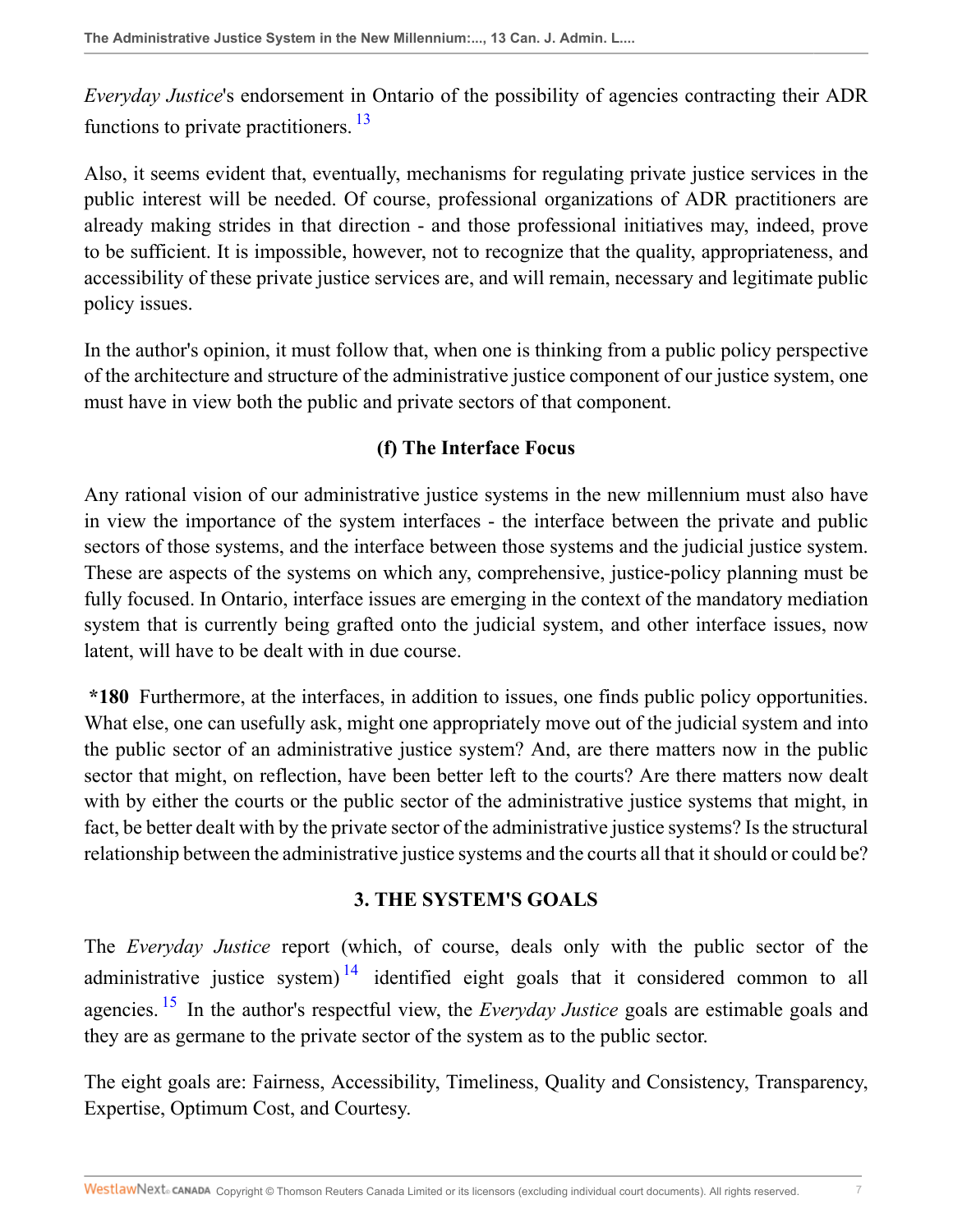<span id="page-6-0"></span>*Everyday Justice*'s endorsement in Ontario of the possibility of agencies contracting their ADR functions to private practitioners.<sup>[13](#page-32-10)</sup>

Also, it seems evident that, eventually, mechanisms for regulating private justice services in the public interest will be needed. Of course, professional organizations of ADR practitioners are already making strides in that direction - and those professional initiatives may, indeed, prove to be sufficient. It is impossible, however, not to recognize that the quality, appropriateness, and accessibility of these private justice services are, and will remain, necessary and legitimate public policy issues.

In the author's opinion, it must follow that, when one is thinking from a public policy perspective of the architecture and structure of the administrative justice component of our justice system, one must have in view both the public and private sectors of that component.

### **(f) The Interface Focus**

Any rational vision of our administrative justice systems in the new millennium must also have in view the importance of the system interfaces - the interface between the private and public sectors of those systems, and the interface between those systems and the judicial justice system. These are aspects of the systems on which any, comprehensive, justice-policy planning must be fully focused. In Ontario, interface issues are emerging in the context of the mandatory mediation system that is currently being grafted onto the judicial system, and other interface issues, now latent, will have to be dealt with in due course.

**\*180** Furthermore, at the interfaces, in addition to issues, one finds public policy opportunities. What else, one can usefully ask, might one appropriately move out of the judicial system and into the public sector of an administrative justice system? And, are there matters now in the public sector that might, on reflection, have been better left to the courts? Are there matters now dealt with by either the courts or the public sector of the administrative justice systems that might, in fact, be better dealt with by the private sector of the administrative justice systems? Is the structural relationship between the administrative justice systems and the courts all that it should or could be?

#### <span id="page-6-1"></span>**3. THE SYSTEM'S GOALS**

<span id="page-6-2"></span>The *Everyday Justice* report (which, of course, deals only with the public sector of the administrative justice system)<sup>[14](#page-32-11)</sup> identified eight goals that it considered common to all agencies. [15](#page-32-12) In the author's respectful view, the *Everyday Justice* goals are estimable goals and they are as germane to the private sector of the system as to the public sector.

The eight goals are: Fairness, Accessibility, Timeliness, Quality and Consistency, Transparency, Expertise, Optimum Cost, and Courtesy.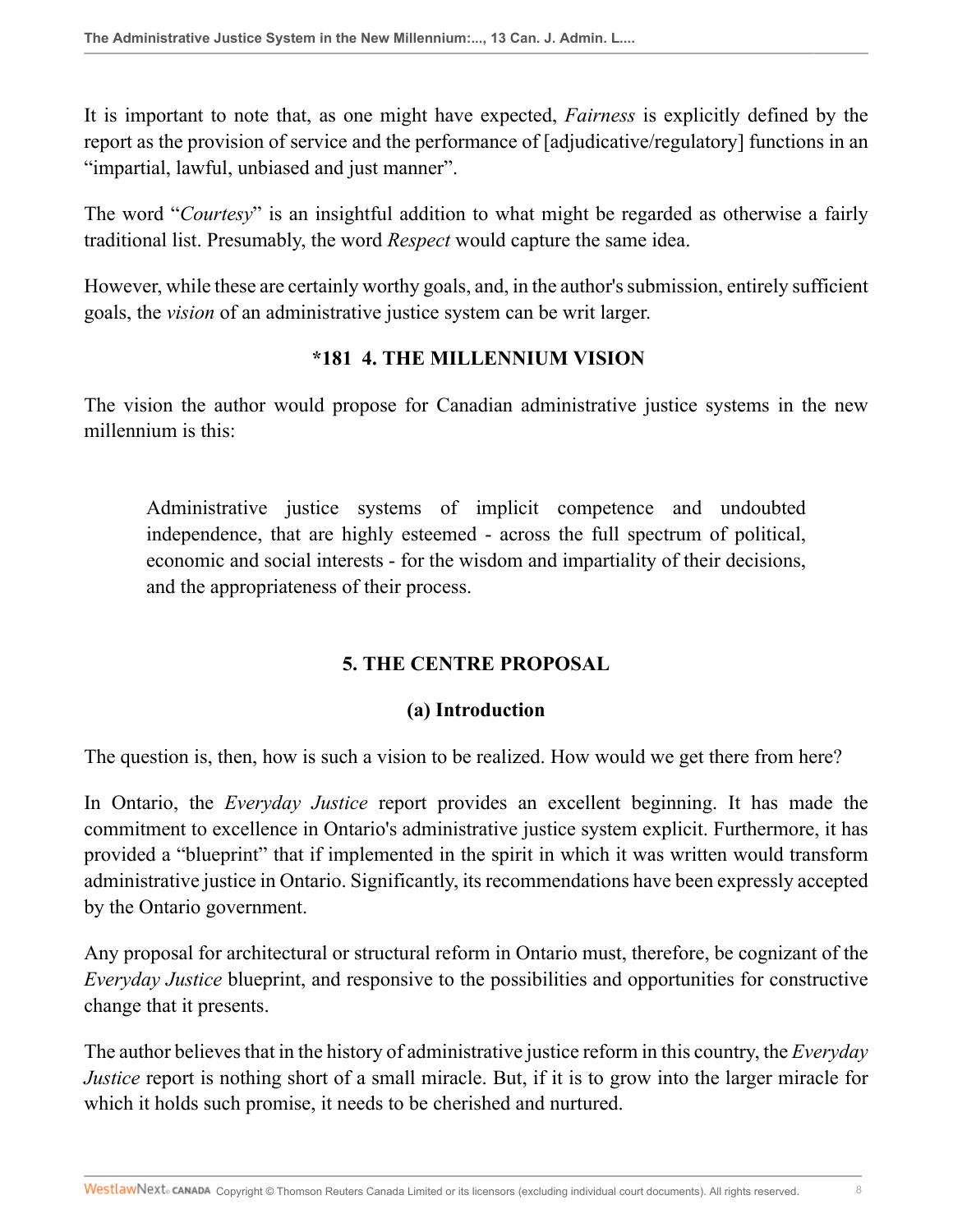It is important to note that, as one might have expected, *Fairness* is explicitly defined by the report as the provision of service and the performance of [adjudicative/regulatory] functions in an "impartial, lawful, unbiased and just manner".

The word "*Courtesy*" is an insightful addition to what might be regarded as otherwise a fairly traditional list. Presumably, the word *Respect* would capture the same idea.

However, while these are certainly worthy goals, and, in the author's submission, entirely sufficient goals, the *vision* of an administrative justice system can be writ larger.

### **\*181 4. THE MILLENNIUM VISION**

The vision the author would propose for Canadian administrative justice systems in the new millennium is this:

Administrative justice systems of implicit competence and undoubted independence, that are highly esteemed - across the full spectrum of political, economic and social interests - for the wisdom and impartiality of their decisions, and the appropriateness of their process.

## **5. THE CENTRE PROPOSAL**

#### **(a) Introduction**

The question is, then, how is such a vision to be realized. How would we get there from here?

In Ontario, the *Everyday Justice* report provides an excellent beginning. It has made the commitment to excellence in Ontario's administrative justice system explicit. Furthermore, it has provided a "blueprint" that if implemented in the spirit in which it was written would transform administrative justice in Ontario. Significantly, its recommendations have been expressly accepted by the Ontario government.

Any proposal for architectural or structural reform in Ontario must, therefore, be cognizant of the *Everyday Justice* blueprint, and responsive to the possibilities and opportunities for constructive change that it presents.

The author believes that in the history of administrative justice reform in this country, the *Everyday Justice* report is nothing short of a small miracle. But, if it is to grow into the larger miracle for which it holds such promise, it needs to be cherished and nurtured.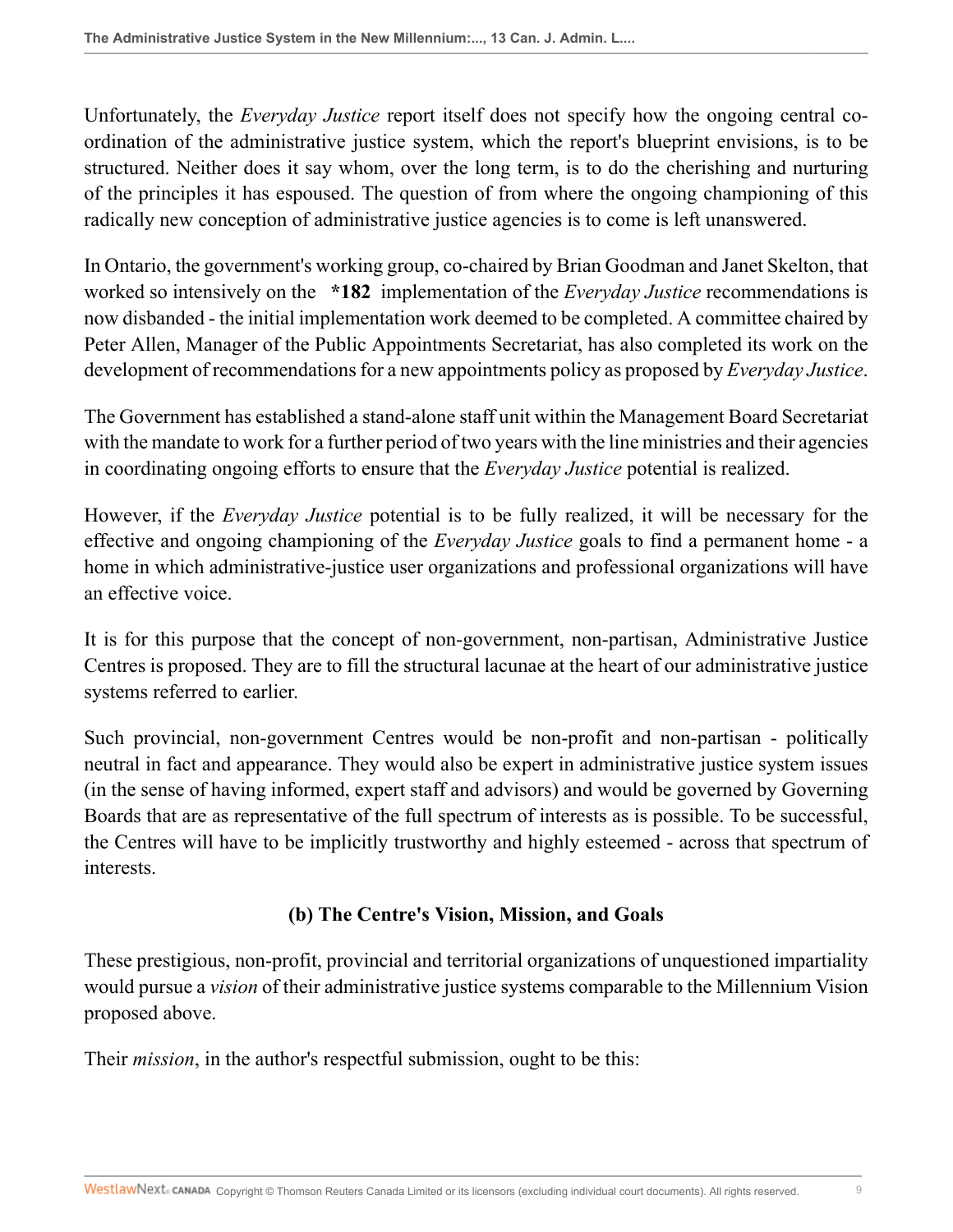Unfortunately, the *Everyday Justice* report itself does not specify how the ongoing central coordination of the administrative justice system, which the report's blueprint envisions, is to be structured. Neither does it say whom, over the long term, is to do the cherishing and nurturing of the principles it has espoused. The question of from where the ongoing championing of this radically new conception of administrative justice agencies is to come is left unanswered.

In Ontario, the government's working group, co-chaired by Brian Goodman and Janet Skelton, that worked so intensively on the **\*182** implementation of the *Everyday Justice* recommendations is now disbanded - the initial implementation work deemed to be completed. A committee chaired by Peter Allen, Manager of the Public Appointments Secretariat, has also completed its work on the development of recommendations for a new appointments policy as proposed by *Everyday Justice*.

The Government has established a stand-alone staff unit within the Management Board Secretariat with the mandate to work for a further period of two years with the line ministries and their agencies in coordinating ongoing efforts to ensure that the *Everyday Justice* potential is realized.

However, if the *Everyday Justice* potential is to be fully realized, it will be necessary for the effective and ongoing championing of the *Everyday Justice* goals to find a permanent home - a home in which administrative-justice user organizations and professional organizations will have an effective voice.

It is for this purpose that the concept of non-government, non-partisan, Administrative Justice Centres is proposed. They are to fill the structural lacunae at the heart of our administrative justice systems referred to earlier.

Such provincial, non-government Centres would be non-profit and non-partisan - politically neutral in fact and appearance. They would also be expert in administrative justice system issues (in the sense of having informed, expert staff and advisors) and would be governed by Governing Boards that are as representative of the full spectrum of interests as is possible. To be successful, the Centres will have to be implicitly trustworthy and highly esteemed - across that spectrum of interests.

# **(b) The Centre's Vision, Mission, and Goals**

These prestigious, non-profit, provincial and territorial organizations of unquestioned impartiality would pursue a *vision* of their administrative justice systems comparable to the Millennium Vision proposed above.

Their *mission*, in the author's respectful submission, ought to be this: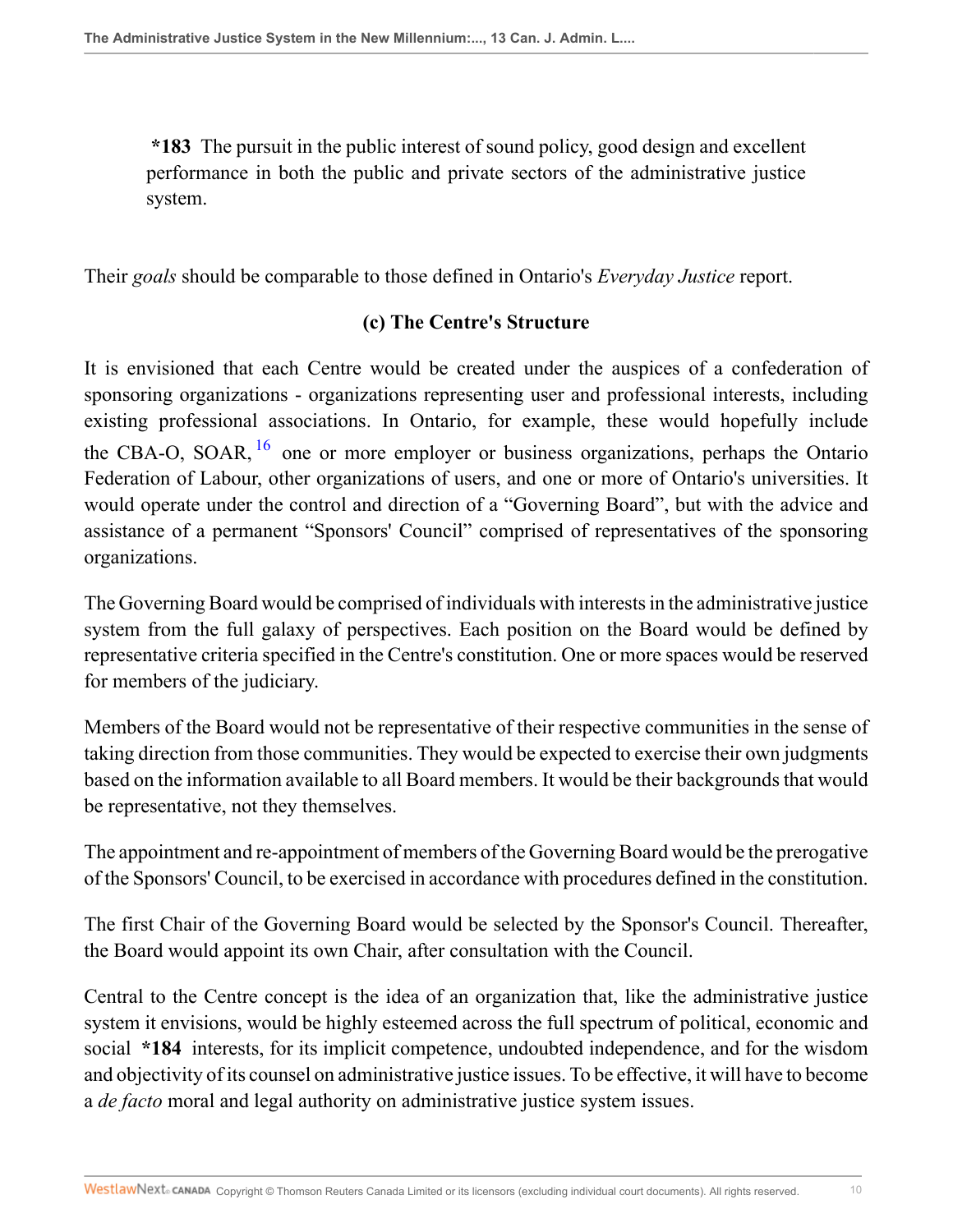**\*183** The pursuit in the public interest of sound policy, good design and excellent performance in both the public and private sectors of the administrative justice system.

Their *goals* should be comparable to those defined in Ontario's *Everyday Justice* report.

### <span id="page-9-0"></span>**(c) The Centre's Structure**

It is envisioned that each Centre would be created under the auspices of a confederation of sponsoring organizations - organizations representing user and professional interests, including existing professional associations. In Ontario, for example, these would hopefully include the CBA-O, SOAR,  $^{16}$  $^{16}$  $^{16}$  one or more employer or business organizations, perhaps the Ontario Federation of Labour, other organizations of users, and one or more of Ontario's universities. It would operate under the control and direction of a "Governing Board", but with the advice and assistance of a permanent "Sponsors' Council" comprised of representatives of the sponsoring organizations.

The Governing Board would be comprised of individuals with interests in the administrative justice system from the full galaxy of perspectives. Each position on the Board would be defined by representative criteria specified in the Centre's constitution. One or more spaces would be reserved for members of the judiciary.

Members of the Board would not be representative of their respective communities in the sense of taking direction from those communities. They would be expected to exercise their own judgments based on the information available to all Board members. It would be their backgrounds that would be representative, not they themselves.

The appointment and re-appointment of members of the Governing Board would be the prerogative of the Sponsors' Council, to be exercised in accordance with procedures defined in the constitution.

The first Chair of the Governing Board would be selected by the Sponsor's Council. Thereafter, the Board would appoint its own Chair, after consultation with the Council.

Central to the Centre concept is the idea of an organization that, like the administrative justice system it envisions, would be highly esteemed across the full spectrum of political, economic and social **\*184** interests, for its implicit competence, undoubted independence, and for the wisdom and objectivity of its counsel on administrative justice issues. To be effective, it will have to become a *de facto* moral and legal authority on administrative justice system issues.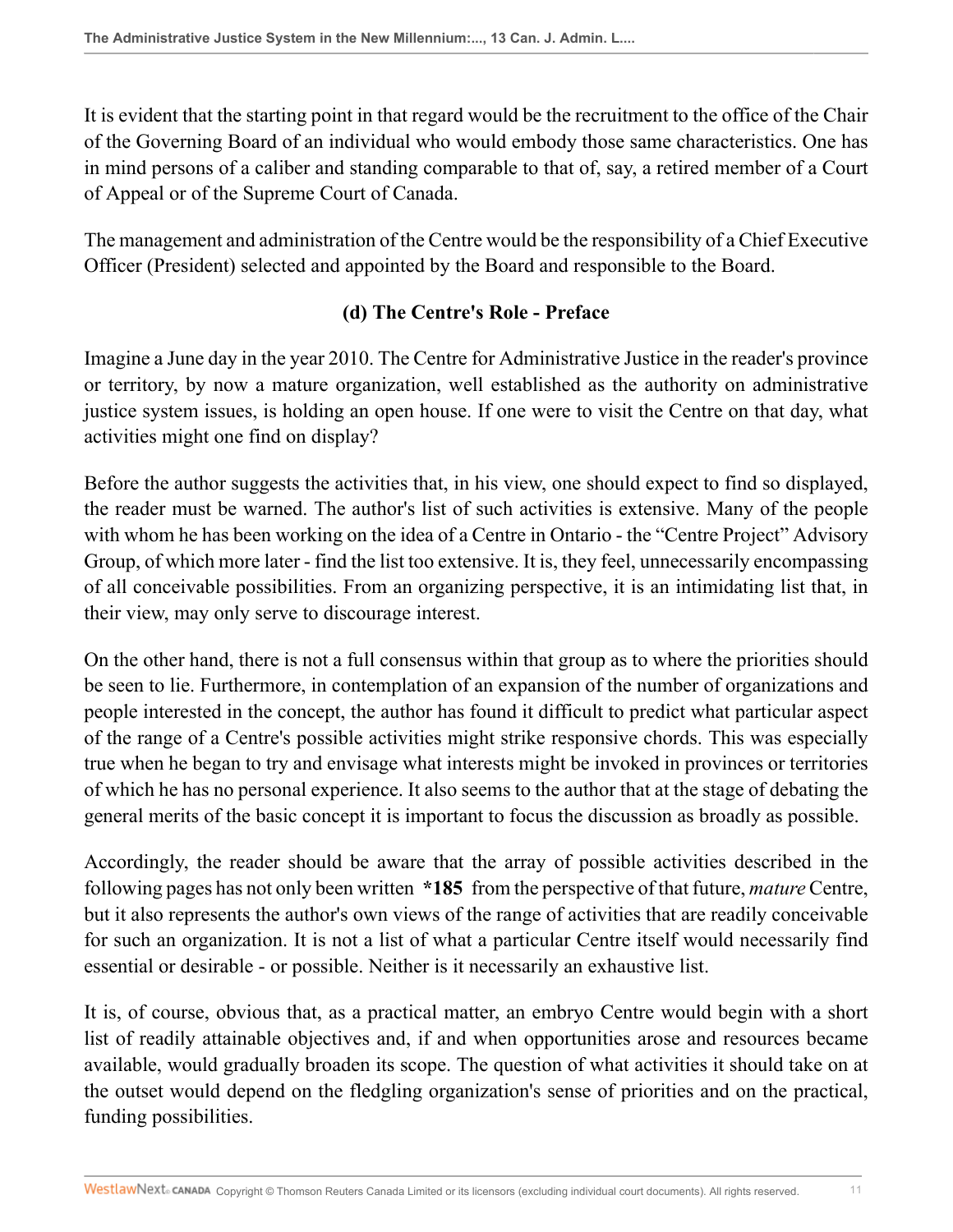It is evident that the starting point in that regard would be the recruitment to the office of the Chair of the Governing Board of an individual who would embody those same characteristics. One has in mind persons of a caliber and standing comparable to that of, say, a retired member of a Court of Appeal or of the Supreme Court of Canada.

The management and administration of the Centre would be the responsibility of a Chief Executive Officer (President) selected and appointed by the Board and responsible to the Board.

### **(d) The Centre's Role - Preface**

Imagine a June day in the year 2010. The Centre for Administrative Justice in the reader's province or territory, by now a mature organization, well established as the authority on administrative justice system issues, is holding an open house. If one were to visit the Centre on that day, what activities might one find on display?

Before the author suggests the activities that, in his view, one should expect to find so displayed, the reader must be warned. The author's list of such activities is extensive. Many of the people with whom he has been working on the idea of a Centre in Ontario - the "Centre Project" Advisory Group, of which more later - find the list too extensive. It is, they feel, unnecessarily encompassing of all conceivable possibilities. From an organizing perspective, it is an intimidating list that, in their view, may only serve to discourage interest.

On the other hand, there is not a full consensus within that group as to where the priorities should be seen to lie. Furthermore, in contemplation of an expansion of the number of organizations and people interested in the concept, the author has found it difficult to predict what particular aspect of the range of a Centre's possible activities might strike responsive chords. This was especially true when he began to try and envisage what interests might be invoked in provinces or territories of which he has no personal experience. It also seems to the author that at the stage of debating the general merits of the basic concept it is important to focus the discussion as broadly as possible.

Accordingly, the reader should be aware that the array of possible activities described in the following pages has not only been written **\*185** from the perspective of that future, *mature* Centre, but it also represents the author's own views of the range of activities that are readily conceivable for such an organization. It is not a list of what a particular Centre itself would necessarily find essential or desirable - or possible. Neither is it necessarily an exhaustive list.

It is, of course, obvious that, as a practical matter, an embryo Centre would begin with a short list of readily attainable objectives and, if and when opportunities arose and resources became available, would gradually broaden its scope. The question of what activities it should take on at the outset would depend on the fledgling organization's sense of priorities and on the practical, funding possibilities.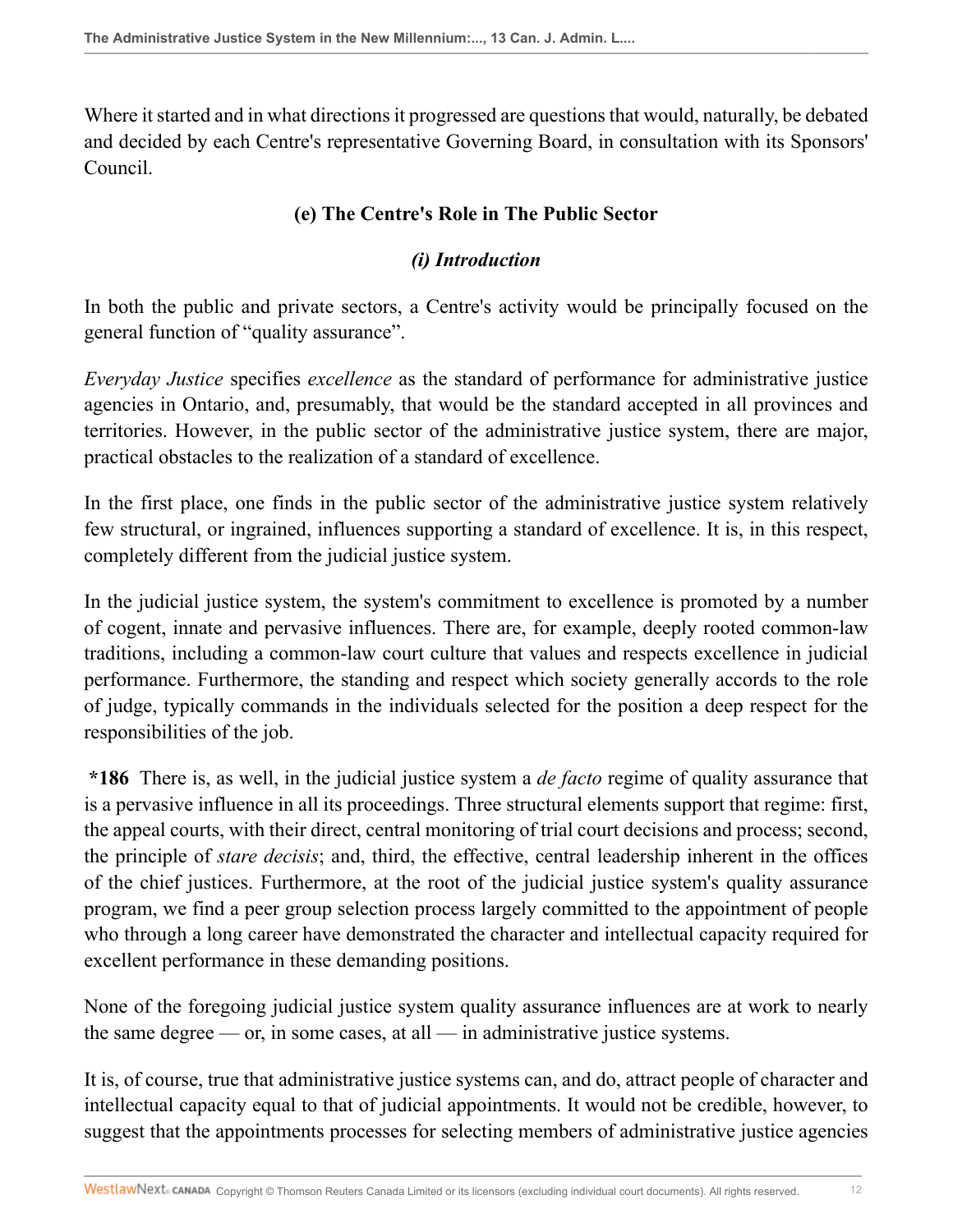Where it started and in what directions it progressed are questions that would, naturally, be debated and decided by each Centre's representative Governing Board, in consultation with its Sponsors' Council.

# **(e) The Centre's Role in The Public Sector**

## *(i) Introduction*

In both the public and private sectors, a Centre's activity would be principally focused on the general function of "quality assurance".

*Everyday Justice* specifies *excellence* as the standard of performance for administrative justice agencies in Ontario, and, presumably, that would be the standard accepted in all provinces and territories. However, in the public sector of the administrative justice system, there are major, practical obstacles to the realization of a standard of excellence.

In the first place, one finds in the public sector of the administrative justice system relatively few structural, or ingrained, influences supporting a standard of excellence. It is, in this respect, completely different from the judicial justice system.

In the judicial justice system, the system's commitment to excellence is promoted by a number of cogent, innate and pervasive influences. There are, for example, deeply rooted common-law traditions, including a common-law court culture that values and respects excellence in judicial performance. Furthermore, the standing and respect which society generally accords to the role of judge, typically commands in the individuals selected for the position a deep respect for the responsibilities of the job.

**\*186** There is, as well, in the judicial justice system a *de facto* regime of quality assurance that is a pervasive influence in all its proceedings. Three structural elements support that regime: first, the appeal courts, with their direct, central monitoring of trial court decisions and process; second, the principle of *stare decisis*; and, third, the effective, central leadership inherent in the offices of the chief justices. Furthermore, at the root of the judicial justice system's quality assurance program, we find a peer group selection process largely committed to the appointment of people who through a long career have demonstrated the character and intellectual capacity required for excellent performance in these demanding positions.

None of the foregoing judicial justice system quality assurance influences are at work to nearly the same degree — or, in some cases, at all — in administrative justice systems.

It is, of course, true that administrative justice systems can, and do, attract people of character and intellectual capacity equal to that of judicial appointments. It would not be credible, however, to suggest that the appointments processes for selecting members of administrative justice agencies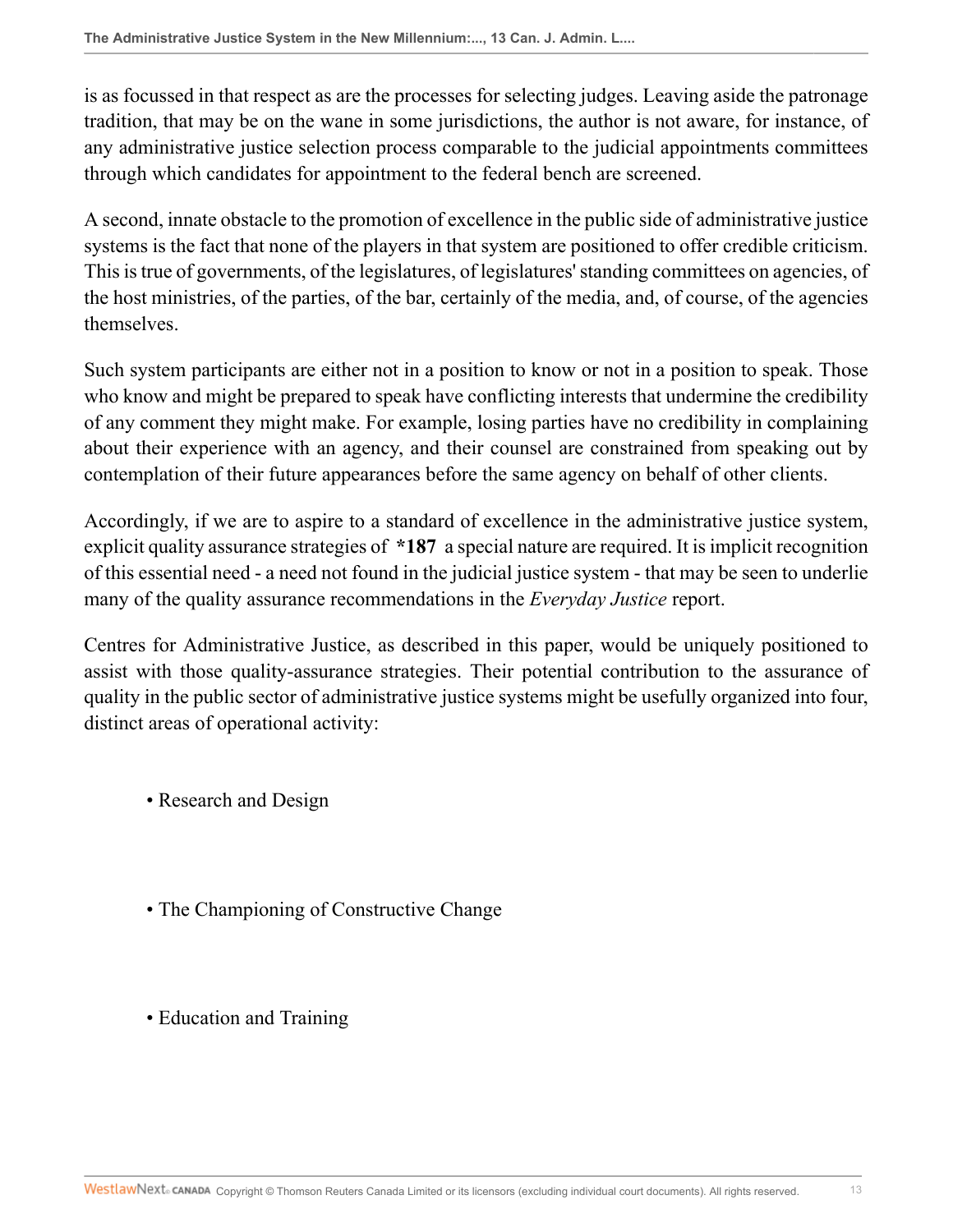is as focussed in that respect as are the processes for selecting judges. Leaving aside the patronage tradition, that may be on the wane in some jurisdictions, the author is not aware, for instance, of any administrative justice selection process comparable to the judicial appointments committees through which candidates for appointment to the federal bench are screened.

A second, innate obstacle to the promotion of excellence in the public side of administrative justice systems is the fact that none of the players in that system are positioned to offer credible criticism. This is true of governments, of the legislatures, of legislatures' standing committees on agencies, of the host ministries, of the parties, of the bar, certainly of the media, and, of course, of the agencies themselves.

Such system participants are either not in a position to know or not in a position to speak. Those who know and might be prepared to speak have conflicting interests that undermine the credibility of any comment they might make. For example, losing parties have no credibility in complaining about their experience with an agency, and their counsel are constrained from speaking out by contemplation of their future appearances before the same agency on behalf of other clients.

Accordingly, if we are to aspire to a standard of excellence in the administrative justice system, explicit quality assurance strategies of **\*187** a special nature are required. It is implicit recognition of this essential need - a need not found in the judicial justice system - that may be seen to underlie many of the quality assurance recommendations in the *Everyday Justice* report.

Centres for Administrative Justice, as described in this paper, would be uniquely positioned to assist with those quality-assurance strategies. Their potential contribution to the assurance of quality in the public sector of administrative justice systems might be usefully organized into four, distinct areas of operational activity:

- Research and Design
- The Championing of Constructive Change
- Education and Training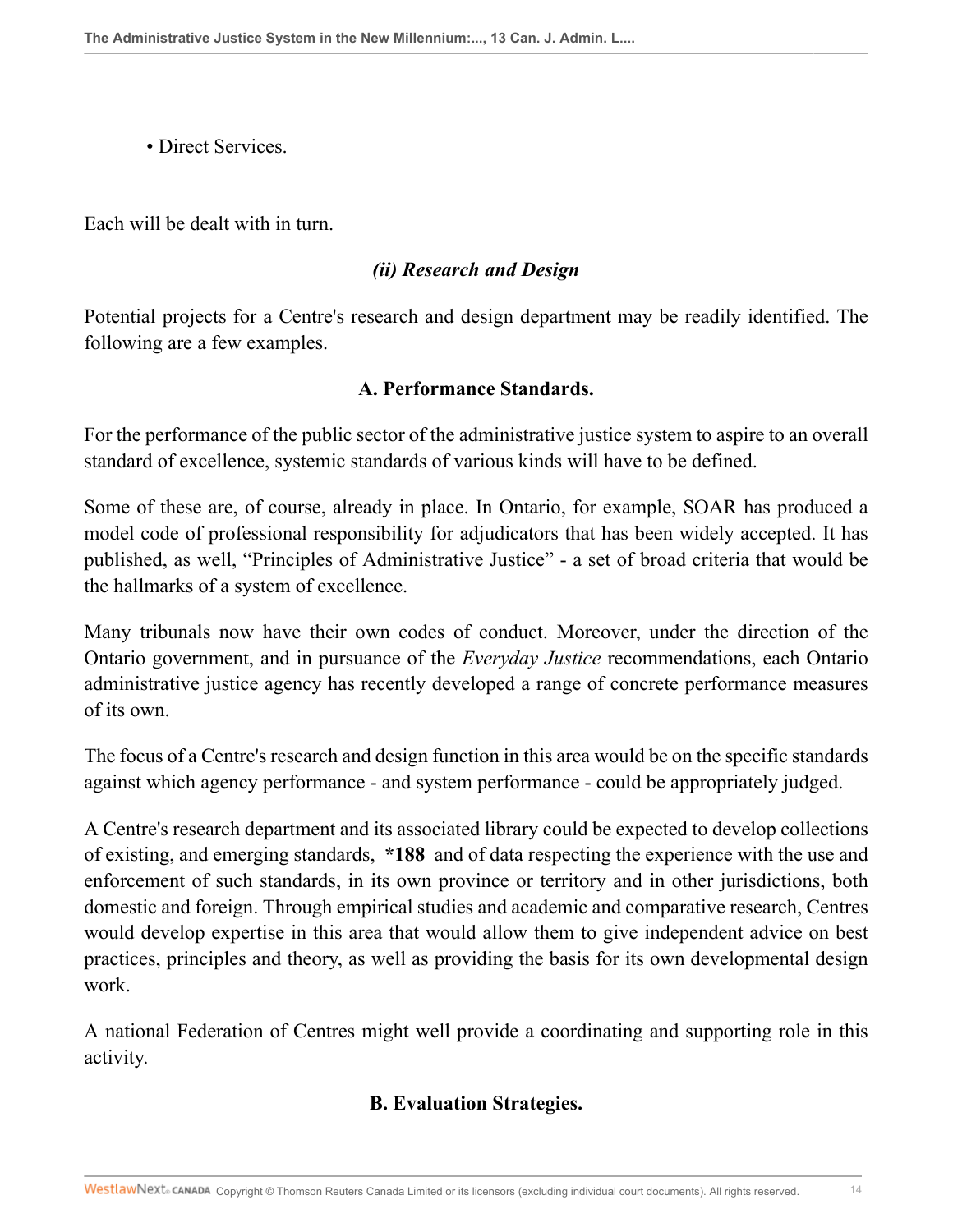• Direct Services

Each will be dealt with in turn.

#### *(ii) Research and Design*

Potential projects for a Centre's research and design department may be readily identified. The following are a few examples.

#### **A. Performance Standards.**

For the performance of the public sector of the administrative justice system to aspire to an overall standard of excellence, systemic standards of various kinds will have to be defined.

Some of these are, of course, already in place. In Ontario, for example, SOAR has produced a model code of professional responsibility for adjudicators that has been widely accepted. It has published, as well, "Principles of Administrative Justice" - a set of broad criteria that would be the hallmarks of a system of excellence.

Many tribunals now have their own codes of conduct. Moreover, under the direction of the Ontario government, and in pursuance of the *Everyday Justice* recommendations, each Ontario administrative justice agency has recently developed a range of concrete performance measures of its own.

The focus of a Centre's research and design function in this area would be on the specific standards against which agency performance - and system performance - could be appropriately judged.

A Centre's research department and its associated library could be expected to develop collections of existing, and emerging standards, **\*188** and of data respecting the experience with the use and enforcement of such standards, in its own province or territory and in other jurisdictions, both domestic and foreign. Through empirical studies and academic and comparative research, Centres would develop expertise in this area that would allow them to give independent advice on best practices, principles and theory, as well as providing the basis for its own developmental design work.

A national Federation of Centres might well provide a coordinating and supporting role in this activity.

## **B. Evaluation Strategies.**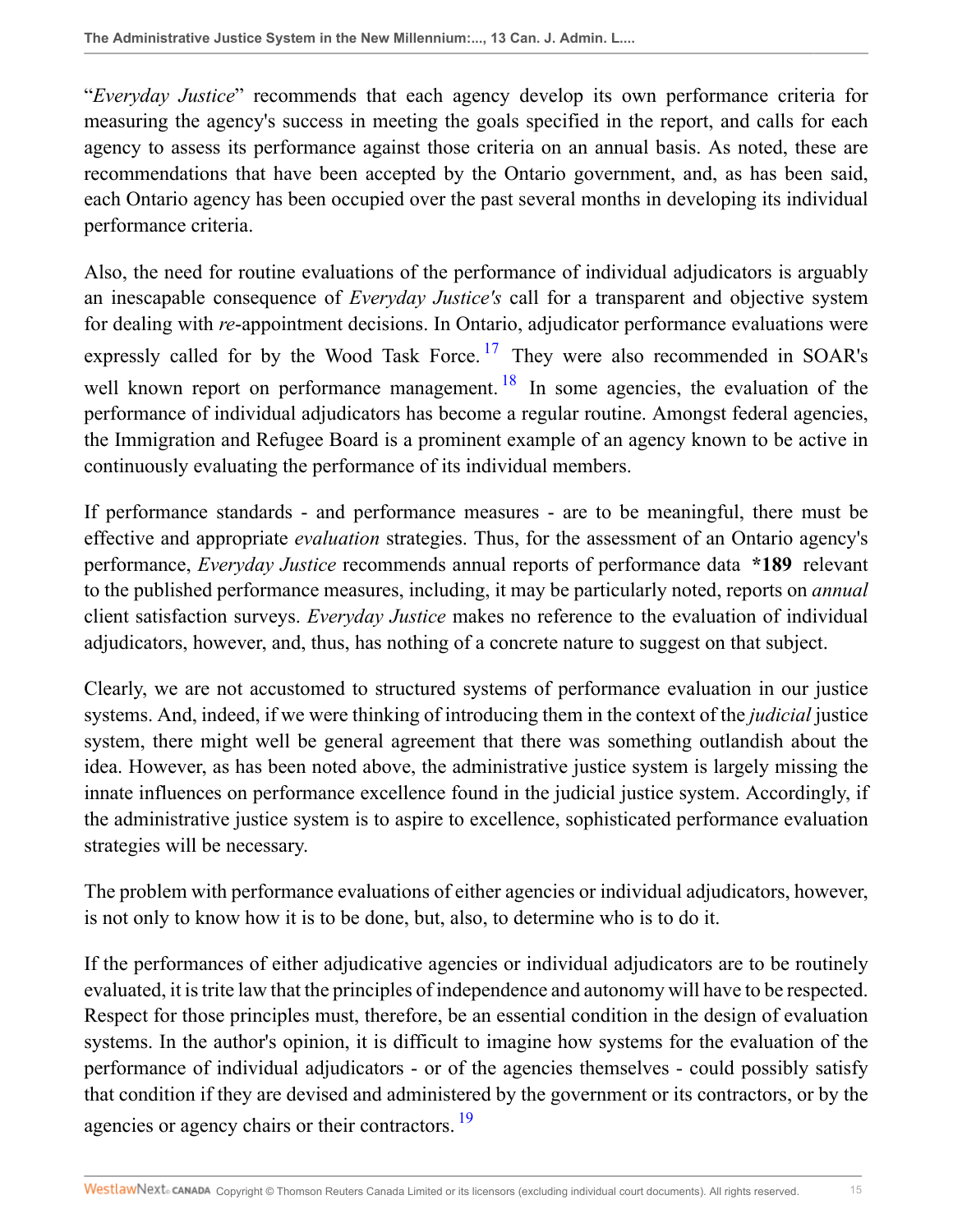"*Everyday Justice*" recommends that each agency develop its own performance criteria for measuring the agency's success in meeting the goals specified in the report, and calls for each agency to assess its performance against those criteria on an annual basis. As noted, these are recommendations that have been accepted by the Ontario government, and, as has been said, each Ontario agency has been occupied over the past several months in developing its individual performance criteria.

<span id="page-14-1"></span><span id="page-14-0"></span>Also, the need for routine evaluations of the performance of individual adjudicators is arguably an inescapable consequence of *Everyday Justice's* call for a transparent and objective system for dealing with *re*-appointment decisions. In Ontario, adjudicator performance evaluations were expressly called for by the Wood Task Force.<sup>[17](#page-32-14)</sup> They were also recommended in SOAR's well known report on performance management.  $18$  In some agencies, the evaluation of the performance of individual adjudicators has become a regular routine. Amongst federal agencies, the Immigration and Refugee Board is a prominent example of an agency known to be active in continuously evaluating the performance of its individual members.

If performance standards - and performance measures - are to be meaningful, there must be effective and appropriate *evaluation* strategies. Thus, for the assessment of an Ontario agency's performance, *Everyday Justice* recommends annual reports of performance data **\*189** relevant to the published performance measures, including, it may be particularly noted, reports on *annual* client satisfaction surveys. *Everyday Justice* makes no reference to the evaluation of individual adjudicators, however, and, thus, has nothing of a concrete nature to suggest on that subject.

Clearly, we are not accustomed to structured systems of performance evaluation in our justice systems. And, indeed, if we were thinking of introducing them in the context of the *judicial* justice system, there might well be general agreement that there was something outlandish about the idea. However, as has been noted above, the administrative justice system is largely missing the innate influences on performance excellence found in the judicial justice system. Accordingly, if the administrative justice system is to aspire to excellence, sophisticated performance evaluation strategies will be necessary.

The problem with performance evaluations of either agencies or individual adjudicators, however, is not only to know how it is to be done, but, also, to determine who is to do it.

<span id="page-14-2"></span>If the performances of either adjudicative agencies or individual adjudicators are to be routinely evaluated, it is trite law that the principles of independence and autonomy will have to be respected. Respect for those principles must, therefore, be an essential condition in the design of evaluation systems. In the author's opinion, it is difficult to imagine how systems for the evaluation of the performance of individual adjudicators - or of the agencies themselves - could possibly satisfy that condition if they are devised and administered by the government or its contractors, or by the agencies or agency chairs or their contractors.<sup>[19](#page-32-16)</sup>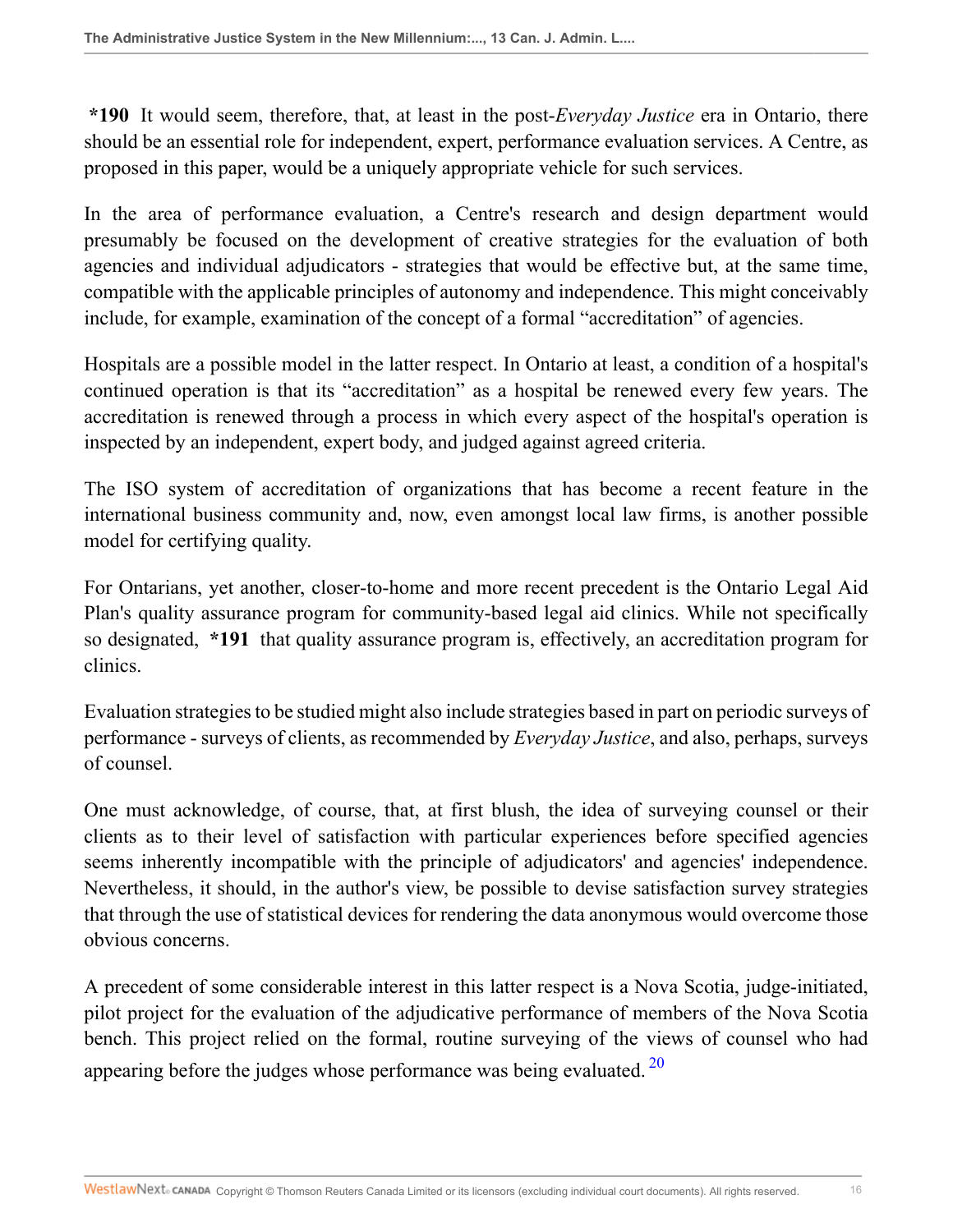**\*190** It would seem, therefore, that, at least in the post-*Everyday Justice* era in Ontario, there should be an essential role for independent, expert, performance evaluation services. A Centre, as proposed in this paper, would be a uniquely appropriate vehicle for such services.

In the area of performance evaluation, a Centre's research and design department would presumably be focused on the development of creative strategies for the evaluation of both agencies and individual adjudicators - strategies that would be effective but, at the same time, compatible with the applicable principles of autonomy and independence. This might conceivably include, for example, examination of the concept of a formal "accreditation" of agencies.

Hospitals are a possible model in the latter respect. In Ontario at least, a condition of a hospital's continued operation is that its "accreditation" as a hospital be renewed every few years. The accreditation is renewed through a process in which every aspect of the hospital's operation is inspected by an independent, expert body, and judged against agreed criteria.

The ISO system of accreditation of organizations that has become a recent feature in the international business community and, now, even amongst local law firms, is another possible model for certifying quality.

For Ontarians, yet another, closer-to-home and more recent precedent is the Ontario Legal Aid Plan's quality assurance program for community-based legal aid clinics. While not specifically so designated, **\*191** that quality assurance program is, effectively, an accreditation program for clinics.

Evaluation strategies to be studied might also include strategies based in part on periodic surveys of performance - surveys of clients, as recommended by *Everyday Justice*, and also, perhaps, surveys of counsel.

One must acknowledge, of course, that, at first blush, the idea of surveying counsel or their clients as to their level of satisfaction with particular experiences before specified agencies seems inherently incompatible with the principle of adjudicators' and agencies' independence. Nevertheless, it should, in the author's view, be possible to devise satisfaction survey strategies that through the use of statistical devices for rendering the data anonymous would overcome those obvious concerns.

<span id="page-15-0"></span>A precedent of some considerable interest in this latter respect is a Nova Scotia, judge-initiated, pilot project for the evaluation of the adjudicative performance of members of the Nova Scotia bench. This project relied on the formal, routine surveying of the views of counsel who had appearing before the judges whose performance was being evaluated.  $20$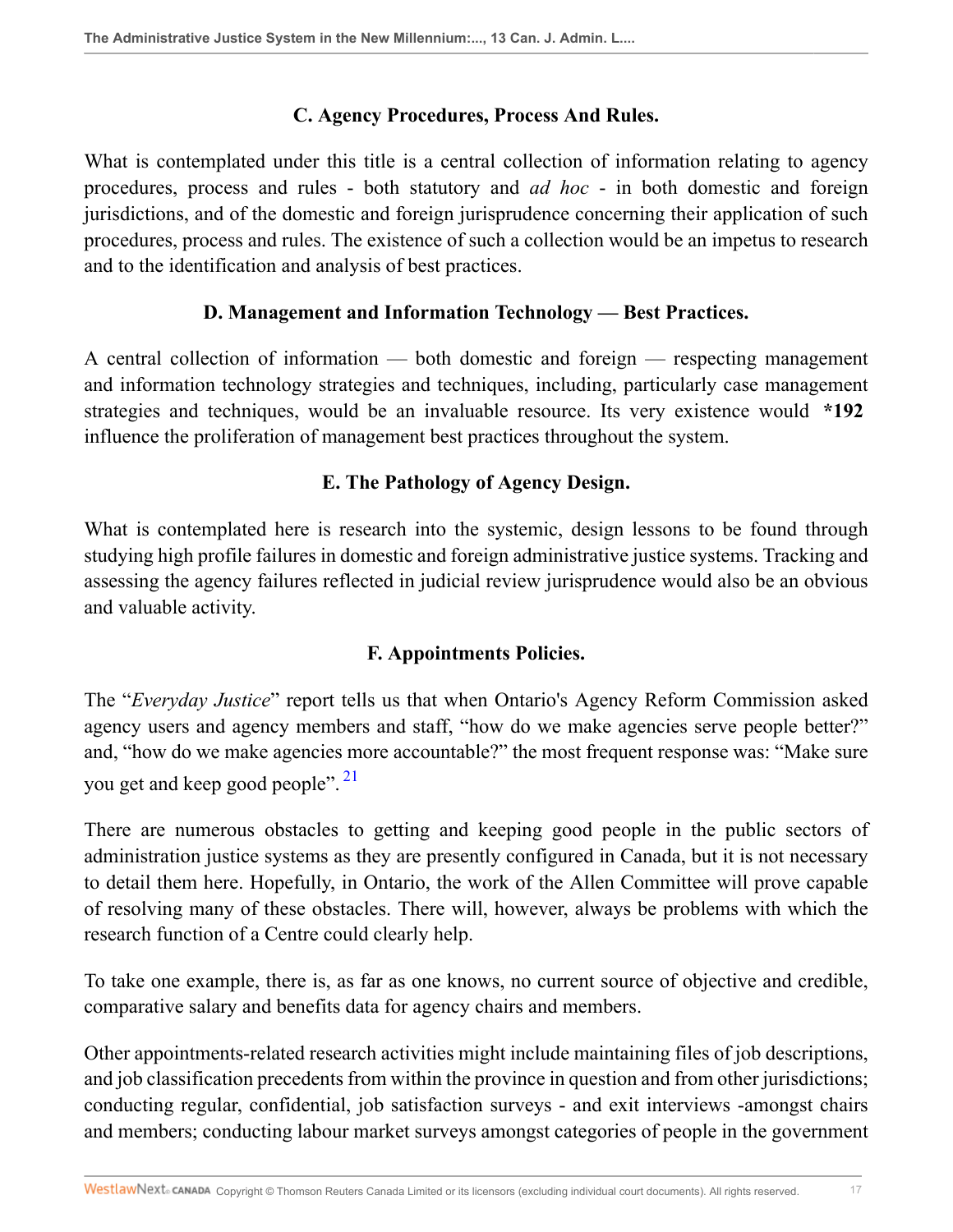### **C. Agency Procedures, Process And Rules.**

What is contemplated under this title is a central collection of information relating to agency procedures, process and rules - both statutory and *ad hoc* - in both domestic and foreign jurisdictions, and of the domestic and foreign jurisprudence concerning their application of such procedures, process and rules. The existence of such a collection would be an impetus to research and to the identification and analysis of best practices.

### **D. Management and Information Technology — Best Practices.**

A central collection of information — both domestic and foreign — respecting management and information technology strategies and techniques, including, particularly case management strategies and techniques, would be an invaluable resource. Its very existence would **\*192** influence the proliferation of management best practices throughout the system.

## **E. The Pathology of Agency Design.**

What is contemplated here is research into the systemic, design lessons to be found through studying high profile failures in domestic and foreign administrative justice systems. Tracking and assessing the agency failures reflected in judicial review jurisprudence would also be an obvious and valuable activity.

## <span id="page-16-0"></span>**F. Appointments Policies.**

The "*Everyday Justice*" report tells us that when Ontario's Agency Reform Commission asked agency users and agency members and staff, "how do we make agencies serve people better?" and, "how do we make agencies more accountable?" the most frequent response was: "Make sure you get and keep good people". <sup>[21](#page-33-1)</sup>

There are numerous obstacles to getting and keeping good people in the public sectors of administration justice systems as they are presently configured in Canada, but it is not necessary to detail them here. Hopefully, in Ontario, the work of the Allen Committee will prove capable of resolving many of these obstacles. There will, however, always be problems with which the research function of a Centre could clearly help.

To take one example, there is, as far as one knows, no current source of objective and credible, comparative salary and benefits data for agency chairs and members.

Other appointments-related research activities might include maintaining files of job descriptions, and job classification precedents from within the province in question and from other jurisdictions; conducting regular, confidential, job satisfaction surveys - and exit interviews -amongst chairs and members; conducting labour market surveys amongst categories of people in the government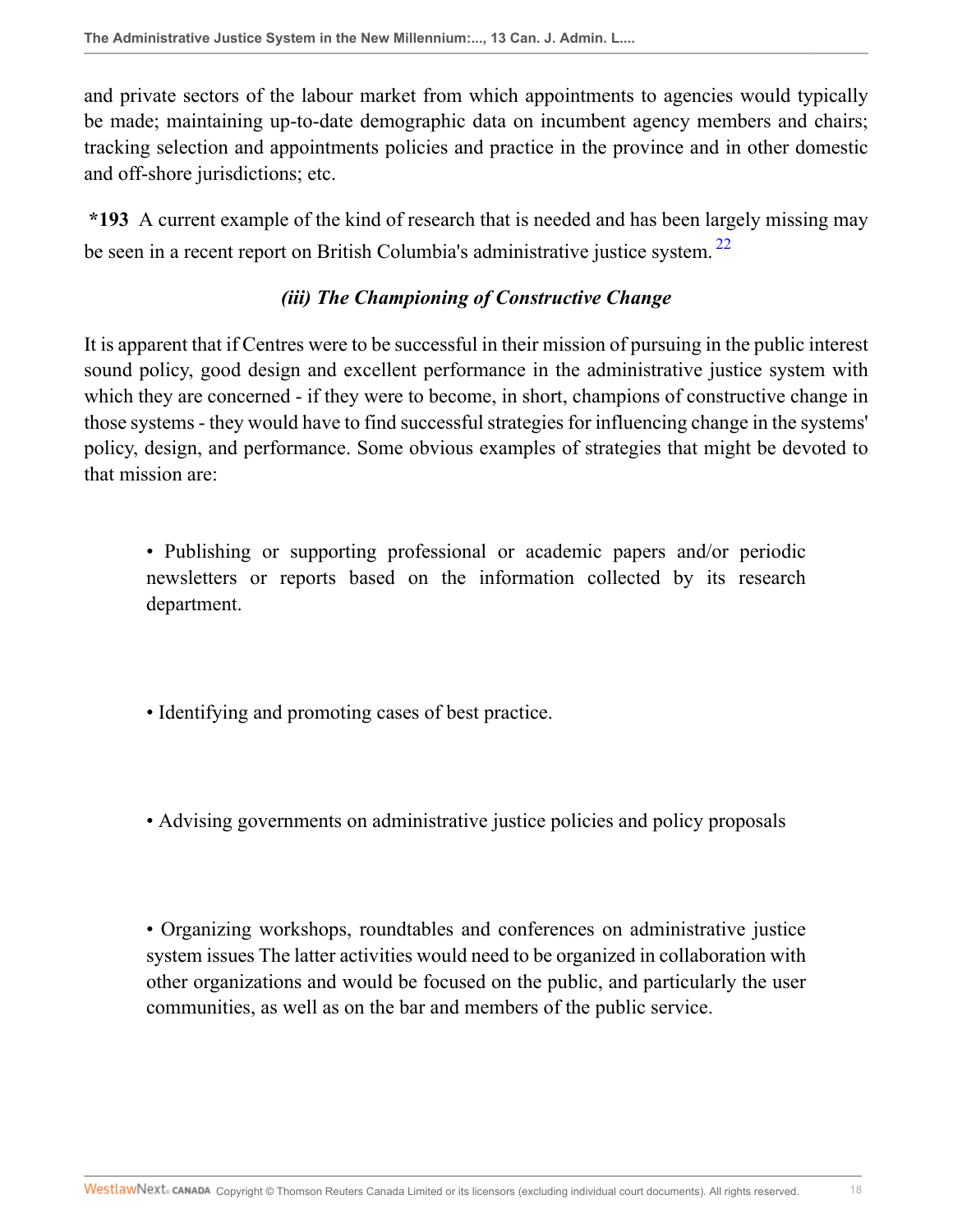and private sectors of the labour market from which appointments to agencies would typically be made; maintaining up-to-date demographic data on incumbent agency members and chairs; tracking selection and appointments policies and practice in the province and in other domestic and off-shore jurisdictions; etc.

**\*193** A current example of the kind of research that is needed and has been largely missing may be seen in a recent report on British Columbia's administrative justice system.<sup>[22](#page-33-2)</sup>

# <span id="page-17-0"></span>*(iii) The Championing of Constructive Change*

It is apparent that if Centres were to be successful in their mission of pursuing in the public interest sound policy, good design and excellent performance in the administrative justice system with which they are concerned - if they were to become, in short, champions of constructive change in those systems - they would have to find successful strategies for influencing change in the systems' policy, design, and performance. Some obvious examples of strategies that might be devoted to that mission are:

• Publishing or supporting professional or academic papers and/or periodic newsletters or reports based on the information collected by its research department.

- Identifying and promoting cases of best practice.
- Advising governments on administrative justice policies and policy proposals

• Organizing workshops, roundtables and conferences on administrative justice system issues The latter activities would need to be organized in collaboration with other organizations and would be focused on the public, and particularly the user communities, as well as on the bar and members of the public service.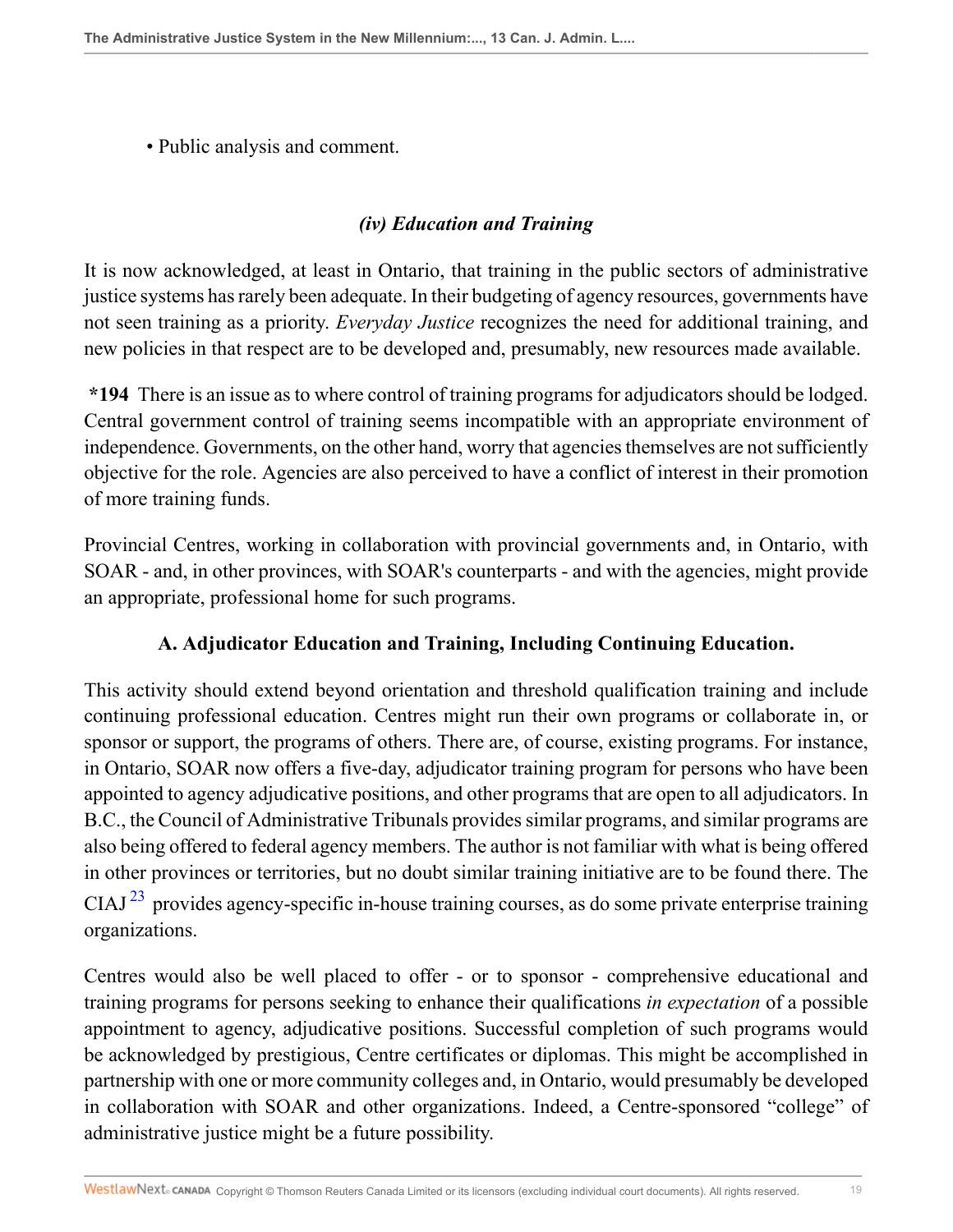• Public analysis and comment.

### *(iv) Education and Training*

It is now acknowledged, at least in Ontario, that training in the public sectors of administrative justice systems has rarely been adequate. In their budgeting of agency resources, governments have not seen training as a priority. *Everyday Justice* recognizes the need for additional training, and new policies in that respect are to be developed and, presumably, new resources made available.

**\*194** There is an issue as to where control of training programs for adjudicators should be lodged. Central government control of training seems incompatible with an appropriate environment of independence. Governments, on the other hand, worry that agencies themselves are not sufficiently objective for the role. Agencies are also perceived to have a conflict of interest in their promotion of more training funds.

Provincial Centres, working in collaboration with provincial governments and, in Ontario, with SOAR - and, in other provinces, with SOAR's counterparts - and with the agencies, might provide an appropriate, professional home for such programs.

#### **A. Adjudicator Education and Training, Including Continuing Education.**

This activity should extend beyond orientation and threshold qualification training and include continuing professional education. Centres might run their own programs or collaborate in, or sponsor or support, the programs of others. There are, of course, existing programs. For instance, in Ontario, SOAR now offers a five-day, adjudicator training program for persons who have been appointed to agency adjudicative positions, and other programs that are open to all adjudicators. In B.C., the Council of Administrative Tribunals provides similar programs, and similar programs are also being offered to federal agency members. The author is not familiar with what is being offered in other provinces or territories, but no doubt similar training initiative are to be found there. The CIAJ<sup>[23](#page-33-3)</sup> provides agency-specific in-house training courses, as do some private enterprise training organizations.

<span id="page-18-0"></span>Centres would also be well placed to offer - or to sponsor - comprehensive educational and training programs for persons seeking to enhance their qualifications *in expectation* of a possible appointment to agency, adjudicative positions. Successful completion of such programs would be acknowledged by prestigious, Centre certificates or diplomas. This might be accomplished in partnership with one or more community colleges and, in Ontario, would presumably be developed in collaboration with SOAR and other organizations. Indeed, a Centre-sponsored "college" of administrative justice might be a future possibility.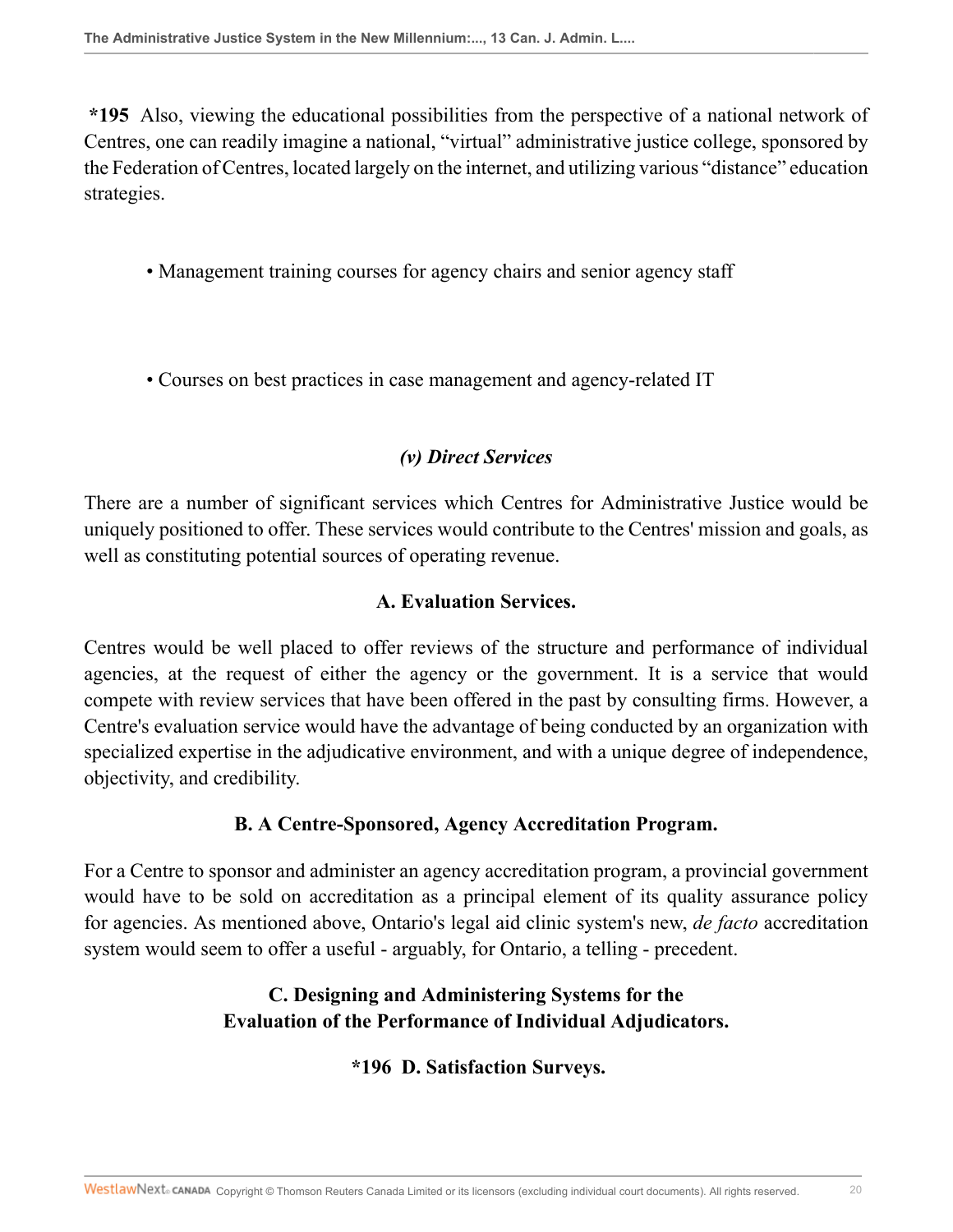**\*195** Also, viewing the educational possibilities from the perspective of a national network of Centres, one can readily imagine a national, "virtual" administrative justice college, sponsored by the Federation of Centres, located largely on the internet, and utilizing various "distance" education strategies.

- Management training courses for agency chairs and senior agency staff
- Courses on best practices in case management and agency-related IT

# *(v) Direct Services*

There are a number of significant services which Centres for Administrative Justice would be uniquely positioned to offer. These services would contribute to the Centres' mission and goals, as well as constituting potential sources of operating revenue.

### **A. Evaluation Services.**

Centres would be well placed to offer reviews of the structure and performance of individual agencies, at the request of either the agency or the government. It is a service that would compete with review services that have been offered in the past by consulting firms. However, a Centre's evaluation service would have the advantage of being conducted by an organization with specialized expertise in the adjudicative environment, and with a unique degree of independence, objectivity, and credibility.

## **B. A Centre-Sponsored, Agency Accreditation Program.**

For a Centre to sponsor and administer an agency accreditation program, a provincial government would have to be sold on accreditation as a principal element of its quality assurance policy for agencies. As mentioned above, Ontario's legal aid clinic system's new, *de facto* accreditation system would seem to offer a useful - arguably, for Ontario, a telling - precedent.

# **C. Designing and Administering Systems for the Evaluation of the Performance of Individual Adjudicators.**

## **\*196 D. Satisfaction Surveys.**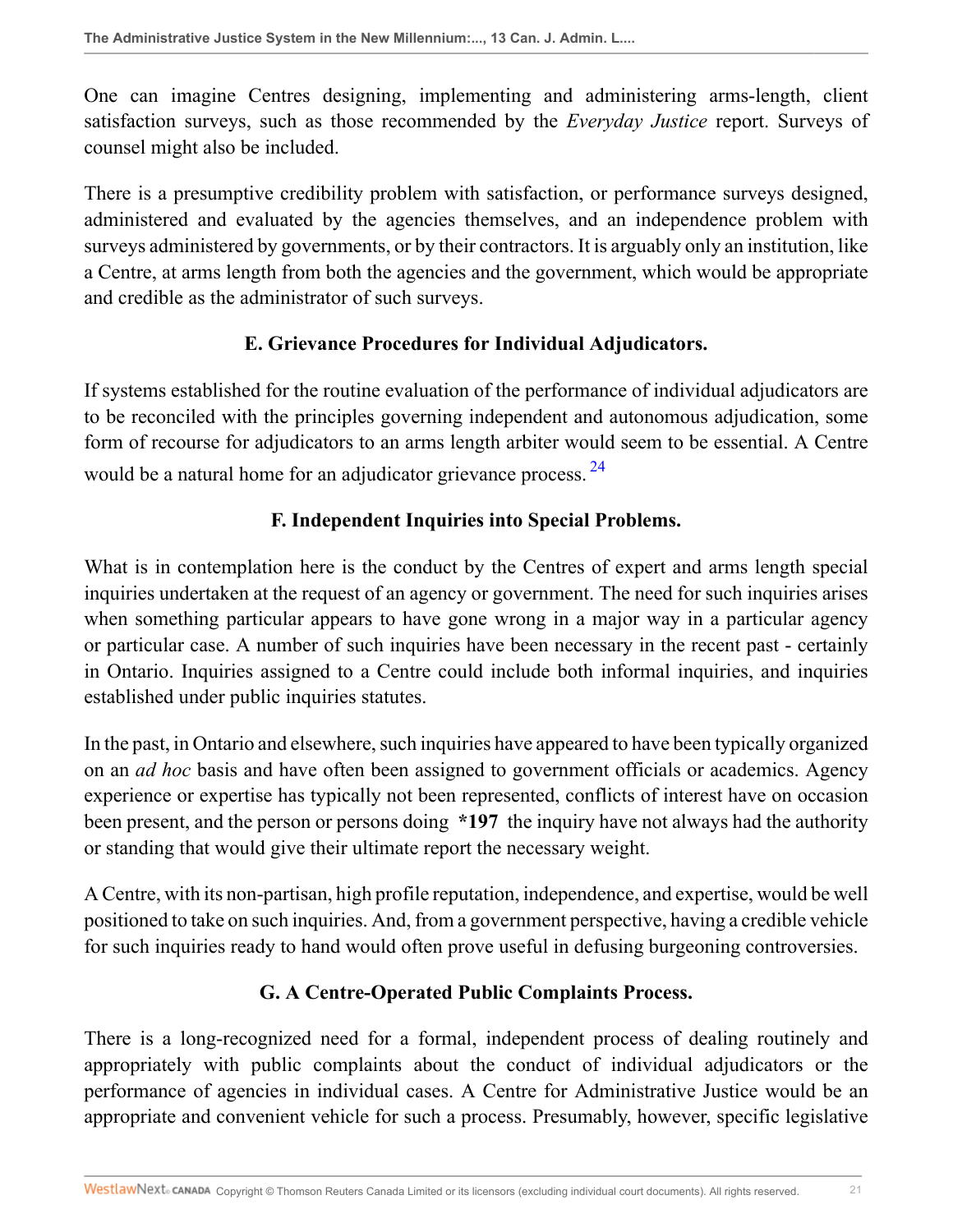One can imagine Centres designing, implementing and administering arms-length, client satisfaction surveys, such as those recommended by the *Everyday Justice* report. Surveys of counsel might also be included.

There is a presumptive credibility problem with satisfaction, or performance surveys designed, administered and evaluated by the agencies themselves, and an independence problem with surveys administered by governments, or by their contractors. It is arguably only an institution, like a Centre, at arms length from both the agencies and the government, which would be appropriate and credible as the administrator of such surveys.

### **E. Grievance Procedures for Individual Adjudicators.**

If systems established for the routine evaluation of the performance of individual adjudicators are to be reconciled with the principles governing independent and autonomous adjudication, some form of recourse for adjudicators to an arms length arbiter would seem to be essential. A Centre would be a natural home for an adjudicator grievance process. <sup>[24](#page-33-4)</sup>

### <span id="page-20-0"></span>**F. Independent Inquiries into Special Problems.**

What is in contemplation here is the conduct by the Centres of expert and arms length special inquiries undertaken at the request of an agency or government. The need for such inquiries arises when something particular appears to have gone wrong in a major way in a particular agency or particular case. A number of such inquiries have been necessary in the recent past - certainly in Ontario. Inquiries assigned to a Centre could include both informal inquiries, and inquiries established under public inquiries statutes.

In the past, in Ontario and elsewhere, such inquiries have appeared to have been typically organized on an *ad hoc* basis and have often been assigned to government officials or academics. Agency experience or expertise has typically not been represented, conflicts of interest have on occasion been present, and the person or persons doing **\*197** the inquiry have not always had the authority or standing that would give their ultimate report the necessary weight.

A Centre, with its non-partisan, high profile reputation, independence, and expertise, would be well positioned to take on such inquiries. And, from a government perspective, having a credible vehicle for such inquiries ready to hand would often prove useful in defusing burgeoning controversies.

#### **G. A Centre-Operated Public Complaints Process.**

There is a long-recognized need for a formal, independent process of dealing routinely and appropriately with public complaints about the conduct of individual adjudicators or the performance of agencies in individual cases. A Centre for Administrative Justice would be an appropriate and convenient vehicle for such a process. Presumably, however, specific legislative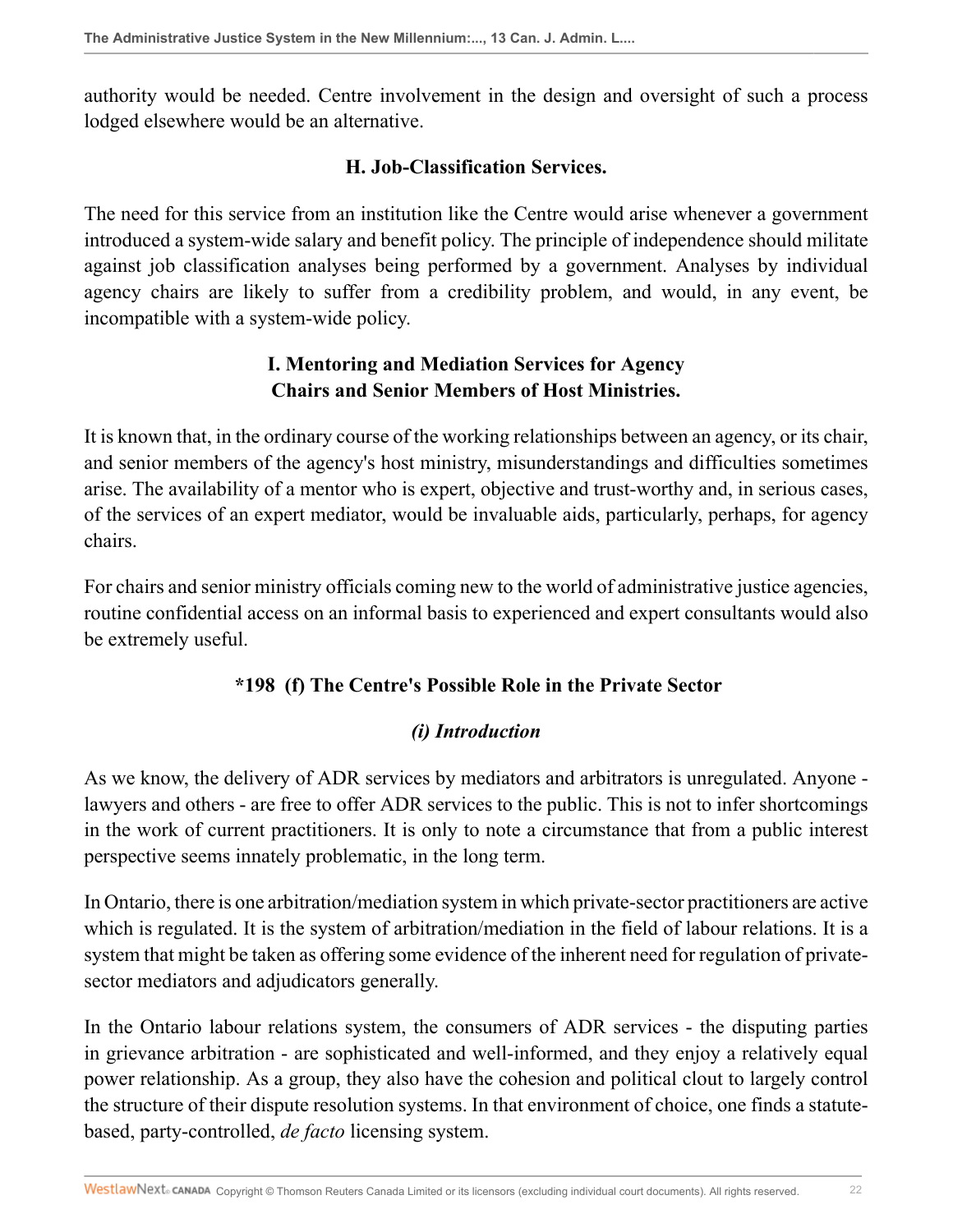authority would be needed. Centre involvement in the design and oversight of such a process lodged elsewhere would be an alternative.

### **H. Job-Classification Services.**

The need for this service from an institution like the Centre would arise whenever a government introduced a system-wide salary and benefit policy. The principle of independence should militate against job classification analyses being performed by a government. Analyses by individual agency chairs are likely to suffer from a credibility problem, and would, in any event, be incompatible with a system-wide policy.

# **I. Mentoring and Mediation Services for Agency Chairs and Senior Members of Host Ministries.**

It is known that, in the ordinary course of the working relationships between an agency, or its chair, and senior members of the agency's host ministry, misunderstandings and difficulties sometimes arise. The availability of a mentor who is expert, objective and trust-worthy and, in serious cases, of the services of an expert mediator, would be invaluable aids, particularly, perhaps, for agency chairs.

For chairs and senior ministry officials coming new to the world of administrative justice agencies, routine confidential access on an informal basis to experienced and expert consultants would also be extremely useful.

## **\*198 (f) The Centre's Possible Role in the Private Sector**

## *(i) Introduction*

As we know, the delivery of ADR services by mediators and arbitrators is unregulated. Anyone lawyers and others - are free to offer ADR services to the public. This is not to infer shortcomings in the work of current practitioners. It is only to note a circumstance that from a public interest perspective seems innately problematic, in the long term.

In Ontario, there is one arbitration/mediation system in which private-sector practitioners are active which is regulated. It is the system of arbitration/mediation in the field of labour relations. It is a system that might be taken as offering some evidence of the inherent need for regulation of privatesector mediators and adjudicators generally.

In the Ontario labour relations system, the consumers of ADR services - the disputing parties in grievance arbitration - are sophisticated and well-informed, and they enjoy a relatively equal power relationship. As a group, they also have the cohesion and political clout to largely control the structure of their dispute resolution systems. In that environment of choice, one finds a statutebased, party-controlled, *de facto* licensing system.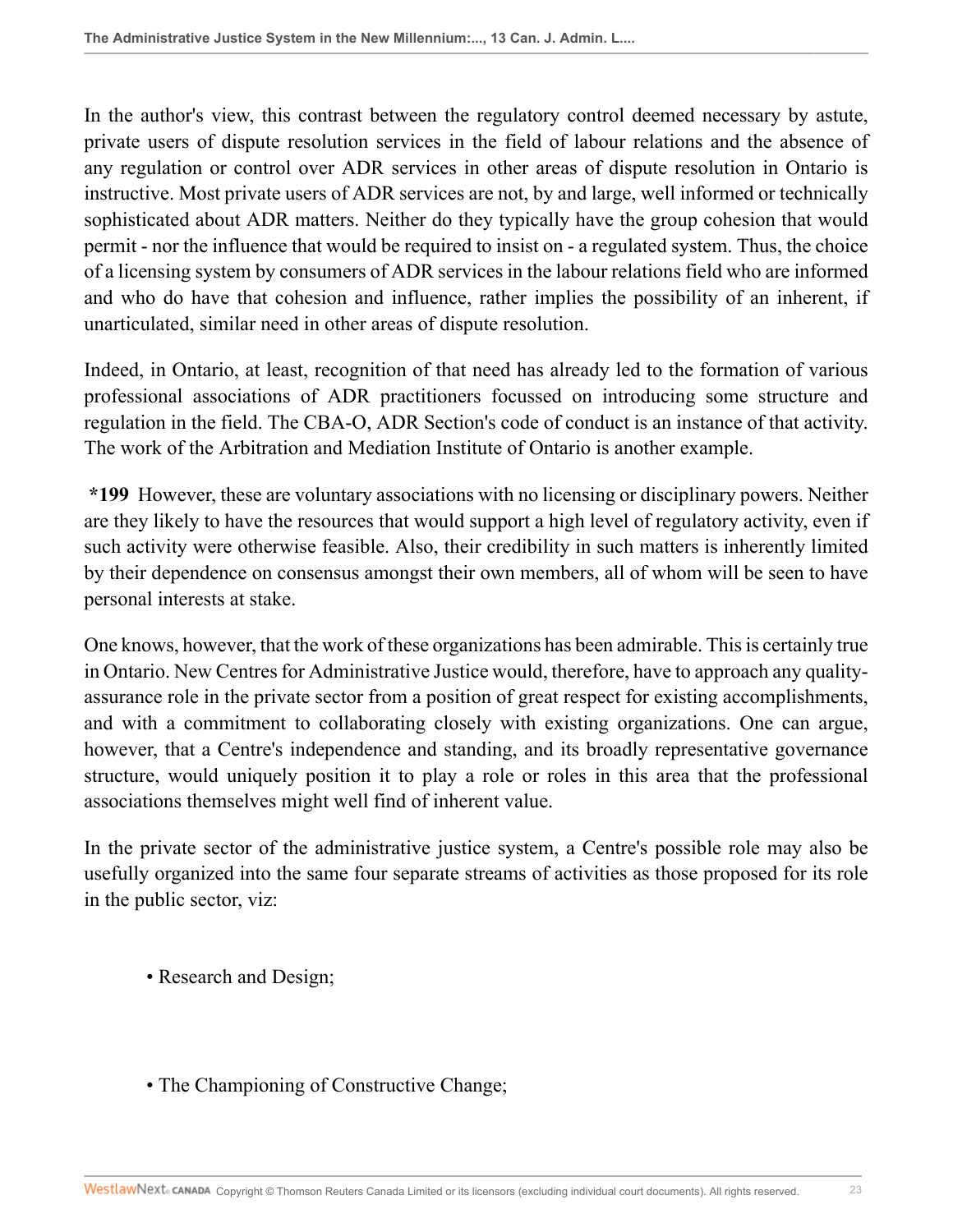In the author's view, this contrast between the regulatory control deemed necessary by astute, private users of dispute resolution services in the field of labour relations and the absence of any regulation or control over ADR services in other areas of dispute resolution in Ontario is instructive. Most private users of ADR services are not, by and large, well informed or technically sophisticated about ADR matters. Neither do they typically have the group cohesion that would permit - nor the influence that would be required to insist on - a regulated system. Thus, the choice of a licensing system by consumers of ADR services in the labour relations field who are informed and who do have that cohesion and influence, rather implies the possibility of an inherent, if unarticulated, similar need in other areas of dispute resolution.

Indeed, in Ontario, at least, recognition of that need has already led to the formation of various professional associations of ADR practitioners focussed on introducing some structure and regulation in the field. The CBA-O, ADR Section's code of conduct is an instance of that activity. The work of the Arbitration and Mediation Institute of Ontario is another example.

**\*199** However, these are voluntary associations with no licensing or disciplinary powers. Neither are they likely to have the resources that would support a high level of regulatory activity, even if such activity were otherwise feasible. Also, their credibility in such matters is inherently limited by their dependence on consensus amongst their own members, all of whom will be seen to have personal interests at stake.

One knows, however, that the work of these organizations has been admirable. This is certainly true in Ontario. New Centres for Administrative Justice would, therefore, have to approach any qualityassurance role in the private sector from a position of great respect for existing accomplishments, and with a commitment to collaborating closely with existing organizations. One can argue, however, that a Centre's independence and standing, and its broadly representative governance structure, would uniquely position it to play a role or roles in this area that the professional associations themselves might well find of inherent value.

In the private sector of the administrative justice system, a Centre's possible role may also be usefully organized into the same four separate streams of activities as those proposed for its role in the public sector, viz:

- Research and Design;
- The Championing of Constructive Change;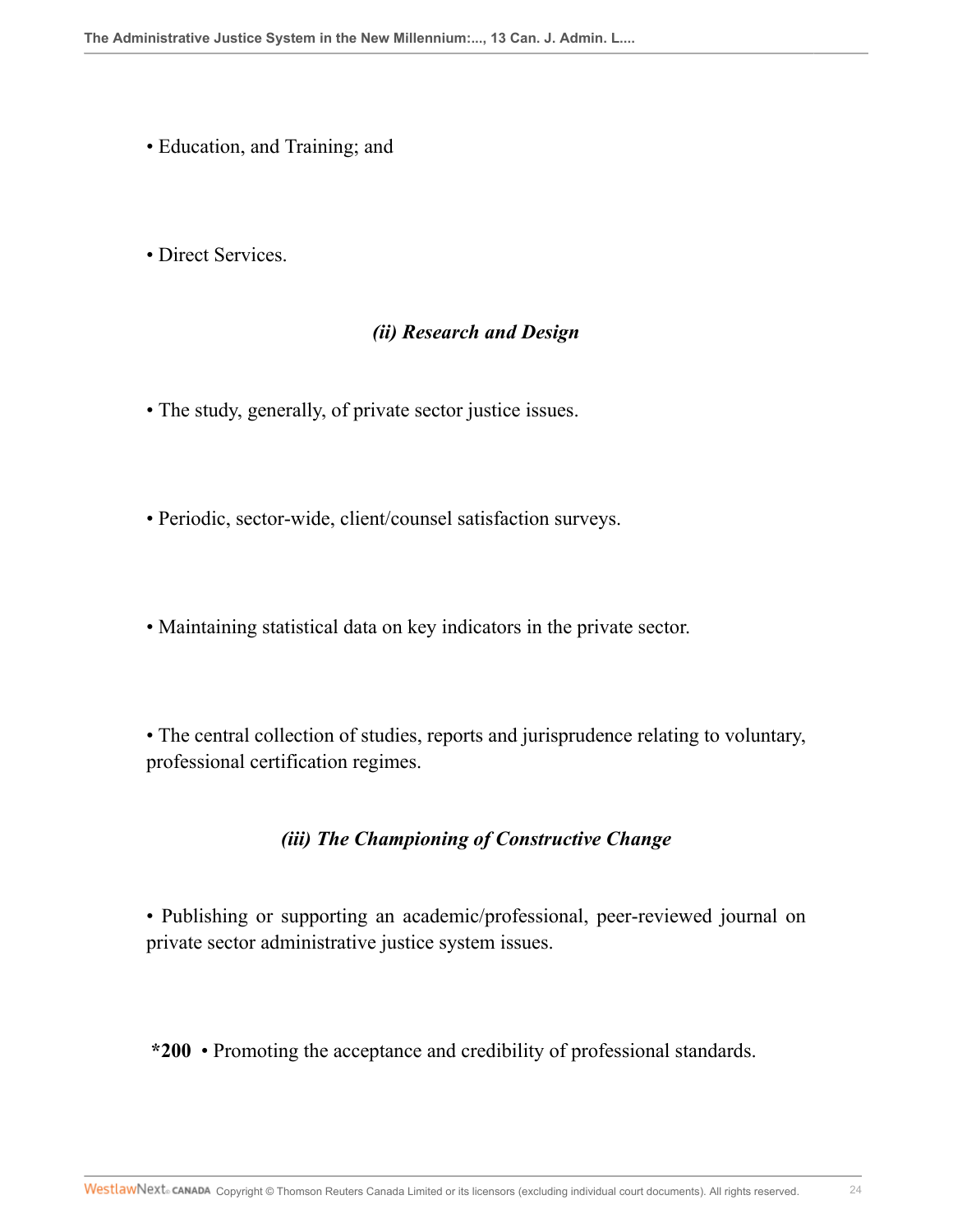- Education, and Training; and
- Direct Services.

### *(ii) Research and Design*

- The study, generally, of private sector justice issues.
- Periodic, sector-wide, client/counsel satisfaction surveys.
- Maintaining statistical data on key indicators in the private sector.

• The central collection of studies, reports and jurisprudence relating to voluntary, professional certification regimes.

#### *(iii) The Championing of Constructive Change*

• Publishing or supporting an academic/professional, peer-reviewed journal on private sector administrative justice system issues.

**\*200** • Promoting the acceptance and credibility of professional standards.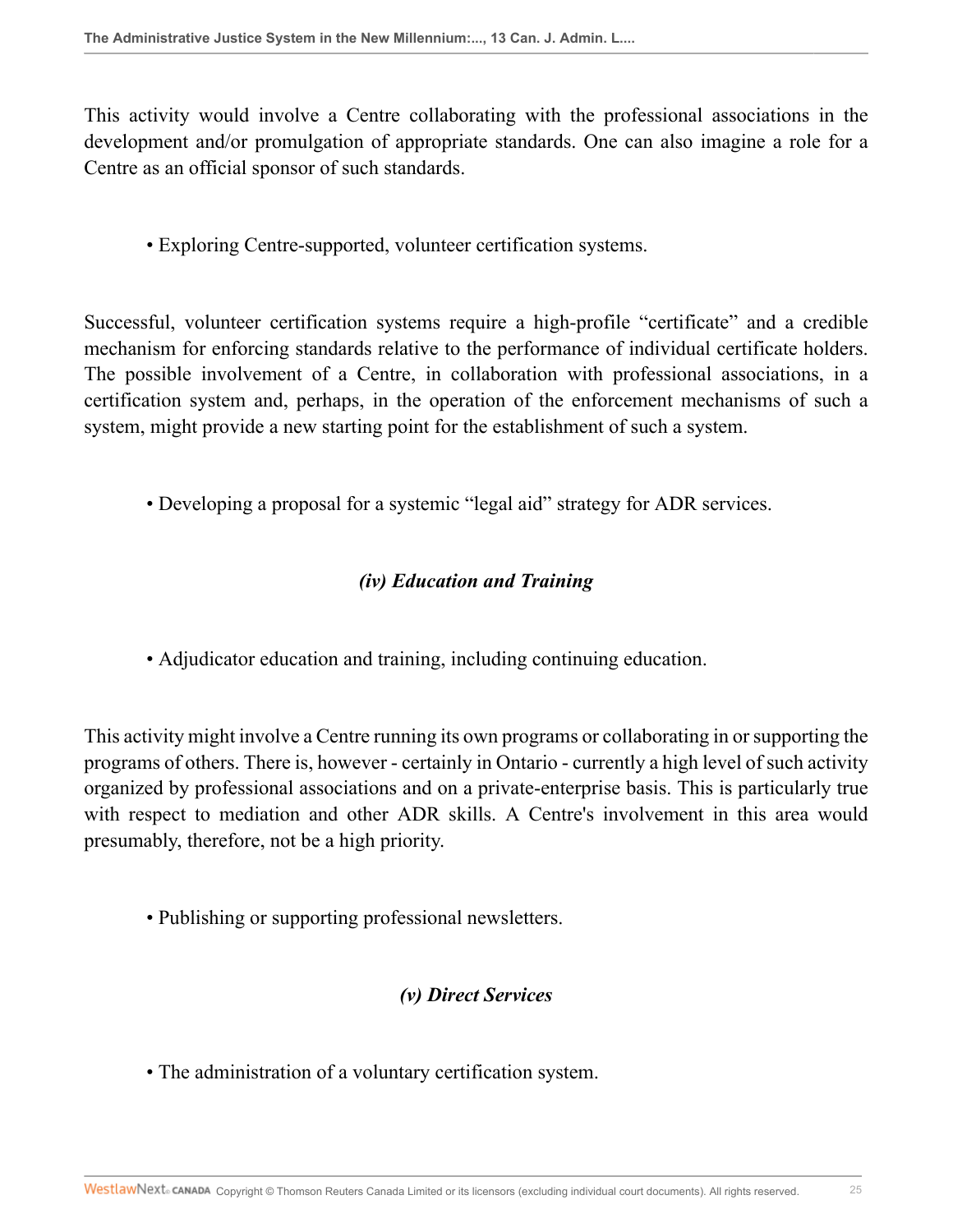This activity would involve a Centre collaborating with the professional associations in the development and/or promulgation of appropriate standards. One can also imagine a role for a Centre as an official sponsor of such standards.

• Exploring Centre-supported, volunteer certification systems.

Successful, volunteer certification systems require a high-profile "certificate" and a credible mechanism for enforcing standards relative to the performance of individual certificate holders. The possible involvement of a Centre, in collaboration with professional associations, in a certification system and, perhaps, in the operation of the enforcement mechanisms of such a system, might provide a new starting point for the establishment of such a system.

• Developing a proposal for a systemic "legal aid" strategy for ADR services.

# *(iv) Education and Training*

• Adjudicator education and training, including continuing education.

This activity might involve a Centre running its own programs or collaborating in or supporting the programs of others. There is, however - certainly in Ontario - currently a high level of such activity organized by professional associations and on a private-enterprise basis. This is particularly true with respect to mediation and other ADR skills. A Centre's involvement in this area would presumably, therefore, not be a high priority.

• Publishing or supporting professional newsletters.

# *(v) Direct Services*

• The administration of a voluntary certification system.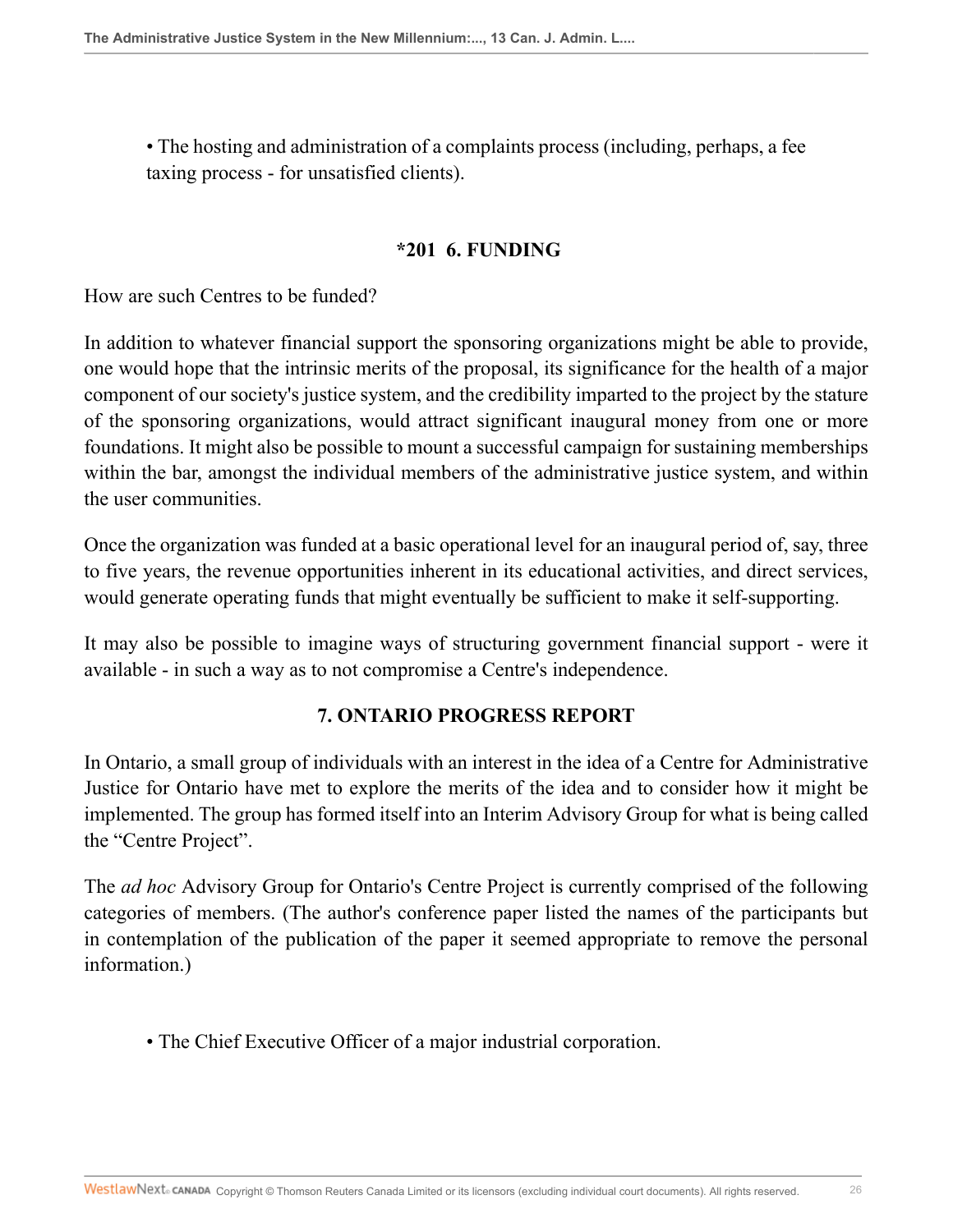• The hosting and administration of a complaints process (including, perhaps, a fee taxing process - for unsatisfied clients).

#### **\*201 6. FUNDING**

How are such Centres to be funded?

In addition to whatever financial support the sponsoring organizations might be able to provide, one would hope that the intrinsic merits of the proposal, its significance for the health of a major component of our society's justice system, and the credibility imparted to the project by the stature of the sponsoring organizations, would attract significant inaugural money from one or more foundations. It might also be possible to mount a successful campaign for sustaining memberships within the bar, amongst the individual members of the administrative justice system, and within the user communities.

Once the organization was funded at a basic operational level for an inaugural period of, say, three to five years, the revenue opportunities inherent in its educational activities, and direct services, would generate operating funds that might eventually be sufficient to make it self-supporting.

It may also be possible to imagine ways of structuring government financial support - were it available - in such a way as to not compromise a Centre's independence.

#### **7. ONTARIO PROGRESS REPORT**

In Ontario, a small group of individuals with an interest in the idea of a Centre for Administrative Justice for Ontario have met to explore the merits of the idea and to consider how it might be implemented. The group has formed itself into an Interim Advisory Group for what is being called the "Centre Project".

The *ad hoc* Advisory Group for Ontario's Centre Project is currently comprised of the following categories of members. (The author's conference paper listed the names of the participants but in contemplation of the publication of the paper it seemed appropriate to remove the personal information.)

• The Chief Executive Officer of a major industrial corporation.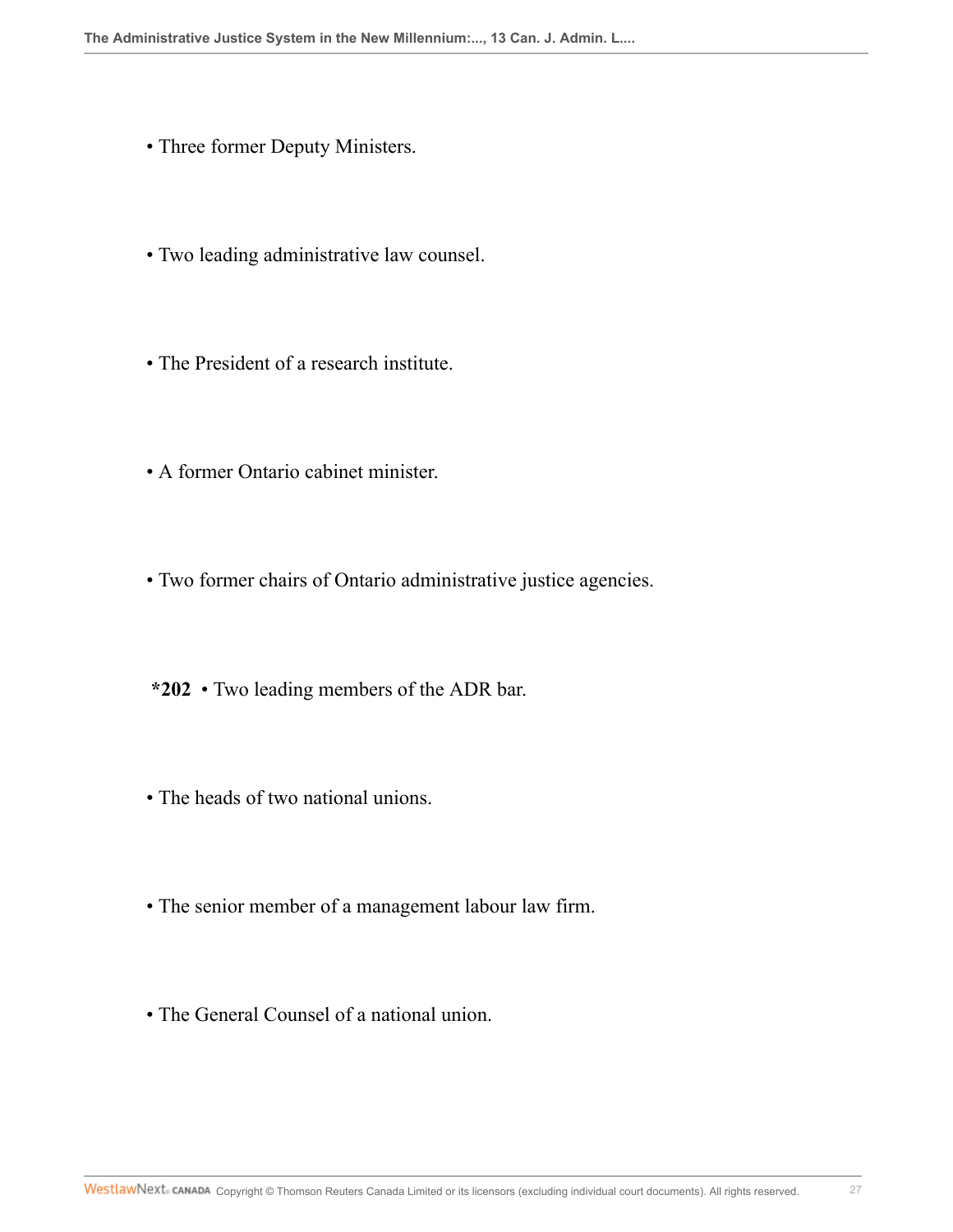- Three former Deputy Ministers.
- Two leading administrative law counsel.
- The President of a research institute.
- A former Ontario cabinet minister.
- Two former chairs of Ontario administrative justice agencies.
- **\*202** Two leading members of the ADR bar.
- The heads of two national unions.
- The senior member of a management labour law firm.
- The General Counsel of a national union.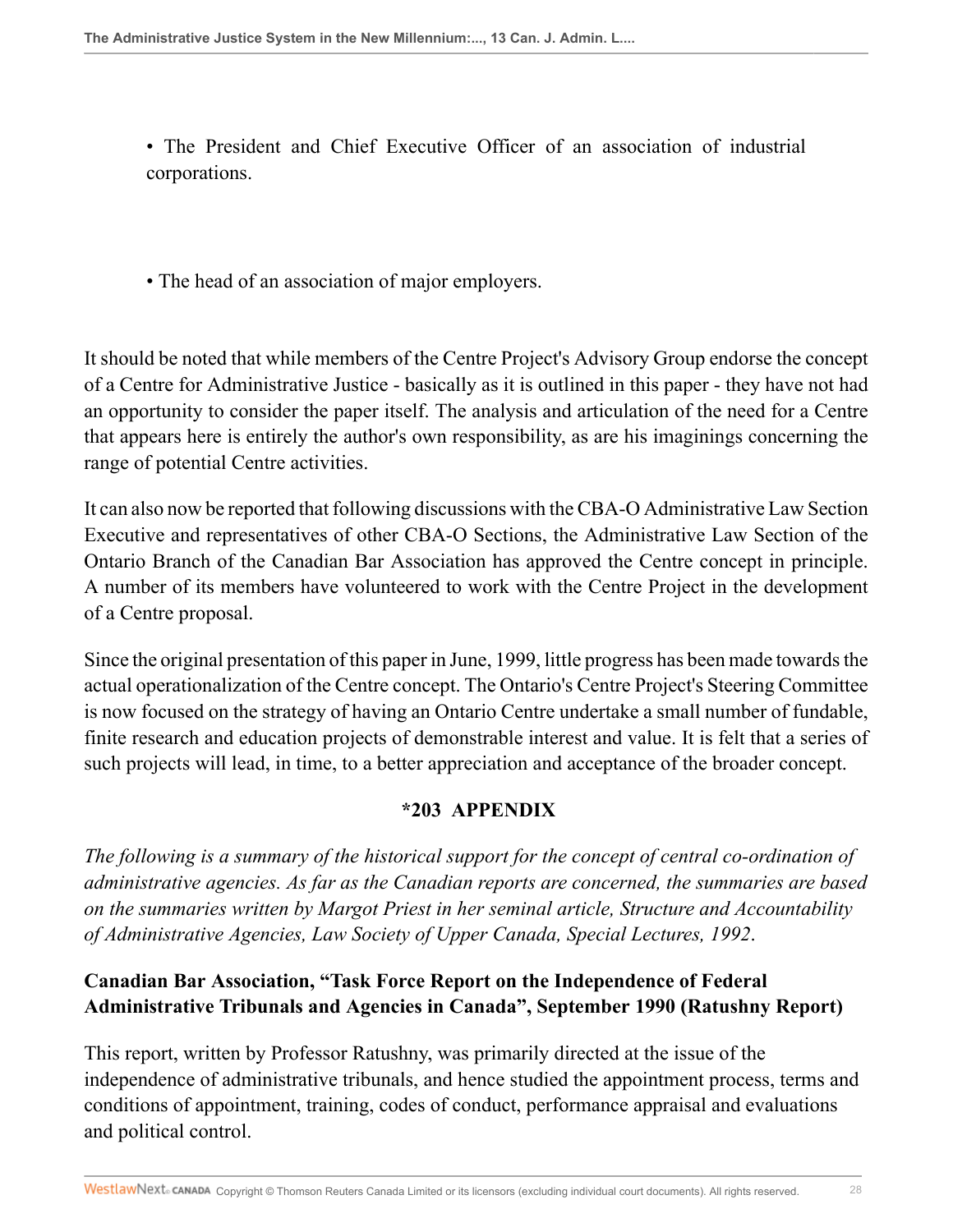• The President and Chief Executive Officer of an association of industrial corporations.

• The head of an association of major employers.

It should be noted that while members of the Centre Project's Advisory Group endorse the concept of a Centre for Administrative Justice - basically as it is outlined in this paper - they have not had an opportunity to consider the paper itself. The analysis and articulation of the need for a Centre that appears here is entirely the author's own responsibility, as are his imaginings concerning the range of potential Centre activities.

It can also now be reported that following discussions with the CBA-O Administrative Law Section Executive and representatives of other CBA-O Sections, the Administrative Law Section of the Ontario Branch of the Canadian Bar Association has approved the Centre concept in principle. A number of its members have volunteered to work with the Centre Project in the development of a Centre proposal.

Since the original presentation of this paper in June, 1999, little progress has been made towards the actual operationalization of the Centre concept. The Ontario's Centre Project's Steering Committee is now focused on the strategy of having an Ontario Centre undertake a small number of fundable, finite research and education projects of demonstrable interest and value. It is felt that a series of such projects will lead, in time, to a better appreciation and acceptance of the broader concept.

#### **\*203 APPENDIX**

*The following is a summary of the historical support for the concept of central co-ordination of administrative agencies. As far as the Canadian reports are concerned, the summaries are based on the summaries written by Margot Priest in her seminal article, Structure and Accountability of Administrative Agencies, Law Society of Upper Canada, Special Lectures, 1992*.

# **Canadian Bar Association, "Task Force Report on the Independence of Federal Administrative Tribunals and Agencies in Canada", September 1990 (Ratushny Report)**

This report, written by Professor Ratushny, was primarily directed at the issue of the independence of administrative tribunals, and hence studied the appointment process, terms and conditions of appointment, training, codes of conduct, performance appraisal and evaluations and political control.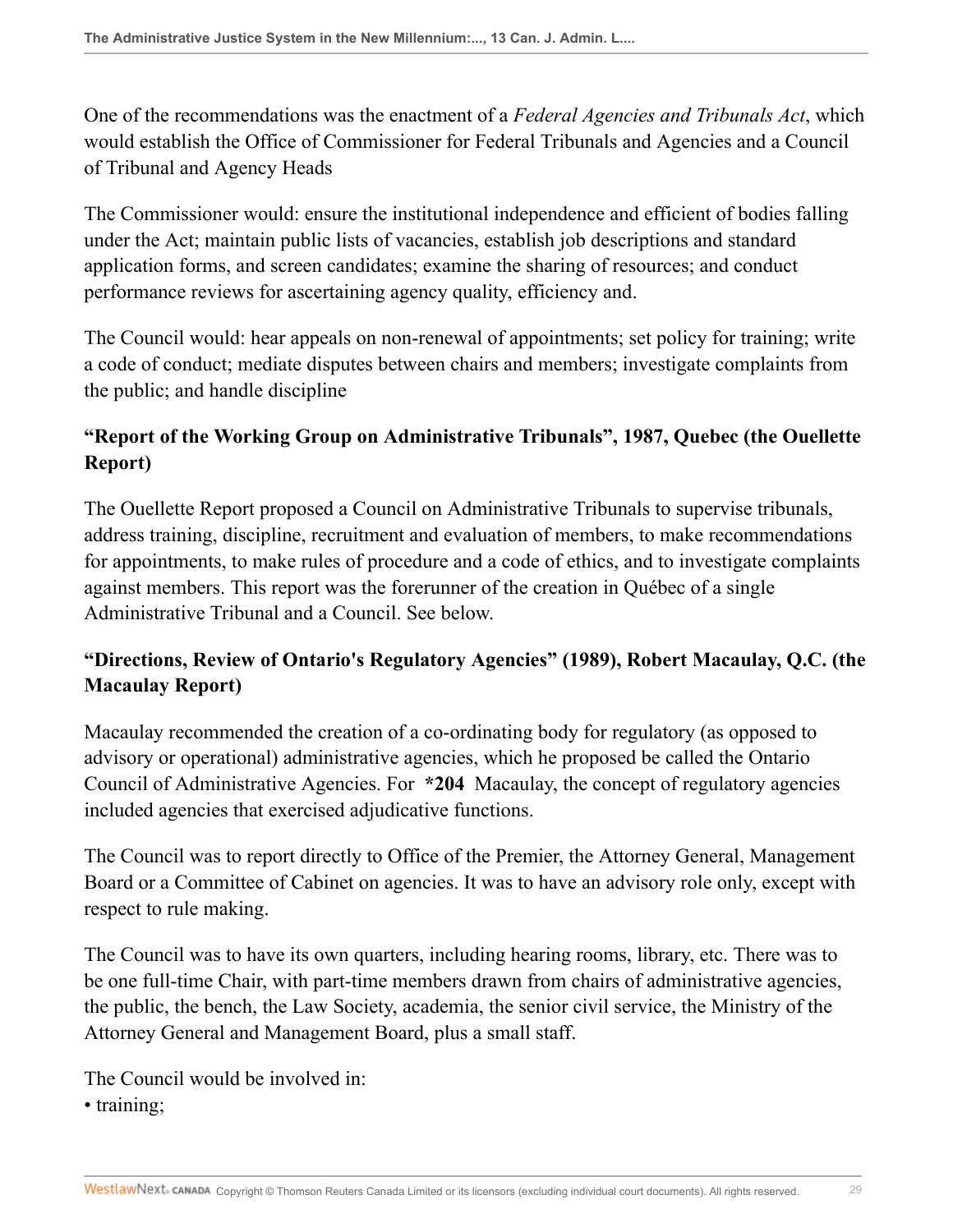One of the recommendations was the enactment of a *Federal Agencies and Tribunals Act*, which would establish the Office of Commissioner for Federal Tribunals and Agencies and a Council of Tribunal and Agency Heads

The Commissioner would: ensure the institutional independence and efficient of bodies falling under the Act; maintain public lists of vacancies, establish job descriptions and standard application forms, and screen candidates; examine the sharing of resources; and conduct performance reviews for ascertaining agency quality, efficiency and.

The Council would: hear appeals on non-renewal of appointments; set policy for training; write a code of conduct; mediate disputes between chairs and members; investigate complaints from the public; and handle discipline

# **"Report of the Working Group on Administrative Tribunals", 1987, Quebec (the Ouellette Report)**

The Ouellette Report proposed a Council on Administrative Tribunals to supervise tribunals, address training, discipline, recruitment and evaluation of members, to make recommendations for appointments, to make rules of procedure and a code of ethics, and to investigate complaints against members. This report was the forerunner of the creation in Québec of a single Administrative Tribunal and a Council. See below.

# **"Directions, Review of Ontario's Regulatory Agencies" (1989), Robert Macaulay, Q.C. (the Macaulay Report)**

Macaulay recommended the creation of a co-ordinating body for regulatory (as opposed to advisory or operational) administrative agencies, which he proposed be called the Ontario Council of Administrative Agencies. For **\*204** Macaulay, the concept of regulatory agencies included agencies that exercised adjudicative functions.

The Council was to report directly to Office of the Premier, the Attorney General, Management Board or a Committee of Cabinet on agencies. It was to have an advisory role only, except with respect to rule making.

The Council was to have its own quarters, including hearing rooms, library, etc. There was to be one full-time Chair, with part-time members drawn from chairs of administrative agencies, the public, the bench, the Law Society, academia, the senior civil service, the Ministry of the Attorney General and Management Board, plus a small staff.

The Council would be involved in: • training;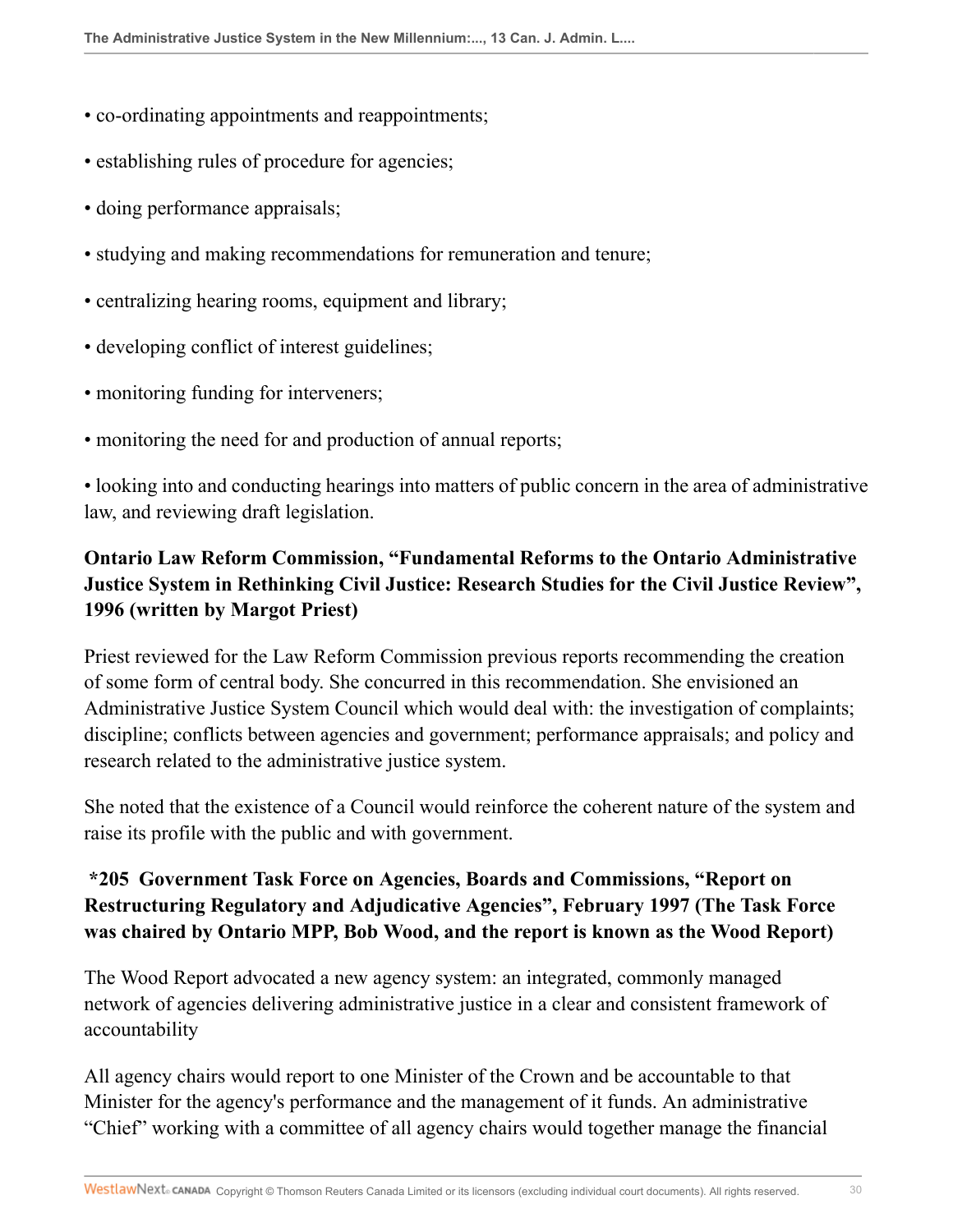- co-ordinating appointments and reappointments;
- establishing rules of procedure for agencies;
- doing performance appraisals;
- studying and making recommendations for remuneration and tenure;
- centralizing hearing rooms, equipment and library;
- developing conflict of interest guidelines;
- monitoring funding for interveners;
- monitoring the need for and production of annual reports;

• looking into and conducting hearings into matters of public concern in the area of administrative law, and reviewing draft legislation.

# **Ontario Law Reform Commission, "Fundamental Reforms to the Ontario Administrative Justice System in Rethinking Civil Justice: Research Studies for the Civil Justice Review", 1996 (written by Margot Priest)**

Priest reviewed for the Law Reform Commission previous reports recommending the creation of some form of central body. She concurred in this recommendation. She envisioned an Administrative Justice System Council which would deal with: the investigation of complaints; discipline; conflicts between agencies and government; performance appraisals; and policy and research related to the administrative justice system.

She noted that the existence of a Council would reinforce the coherent nature of the system and raise its profile with the public and with government.

# **\*205 Government Task Force on Agencies, Boards and Commissions, "Report on Restructuring Regulatory and Adjudicative Agencies", February 1997 (The Task Force was chaired by Ontario MPP, Bob Wood, and the report is known as the Wood Report)**

The Wood Report advocated a new agency system: an integrated, commonly managed network of agencies delivering administrative justice in a clear and consistent framework of accountability

All agency chairs would report to one Minister of the Crown and be accountable to that Minister for the agency's performance and the management of it funds. An administrative "Chief" working with a committee of all agency chairs would together manage the financial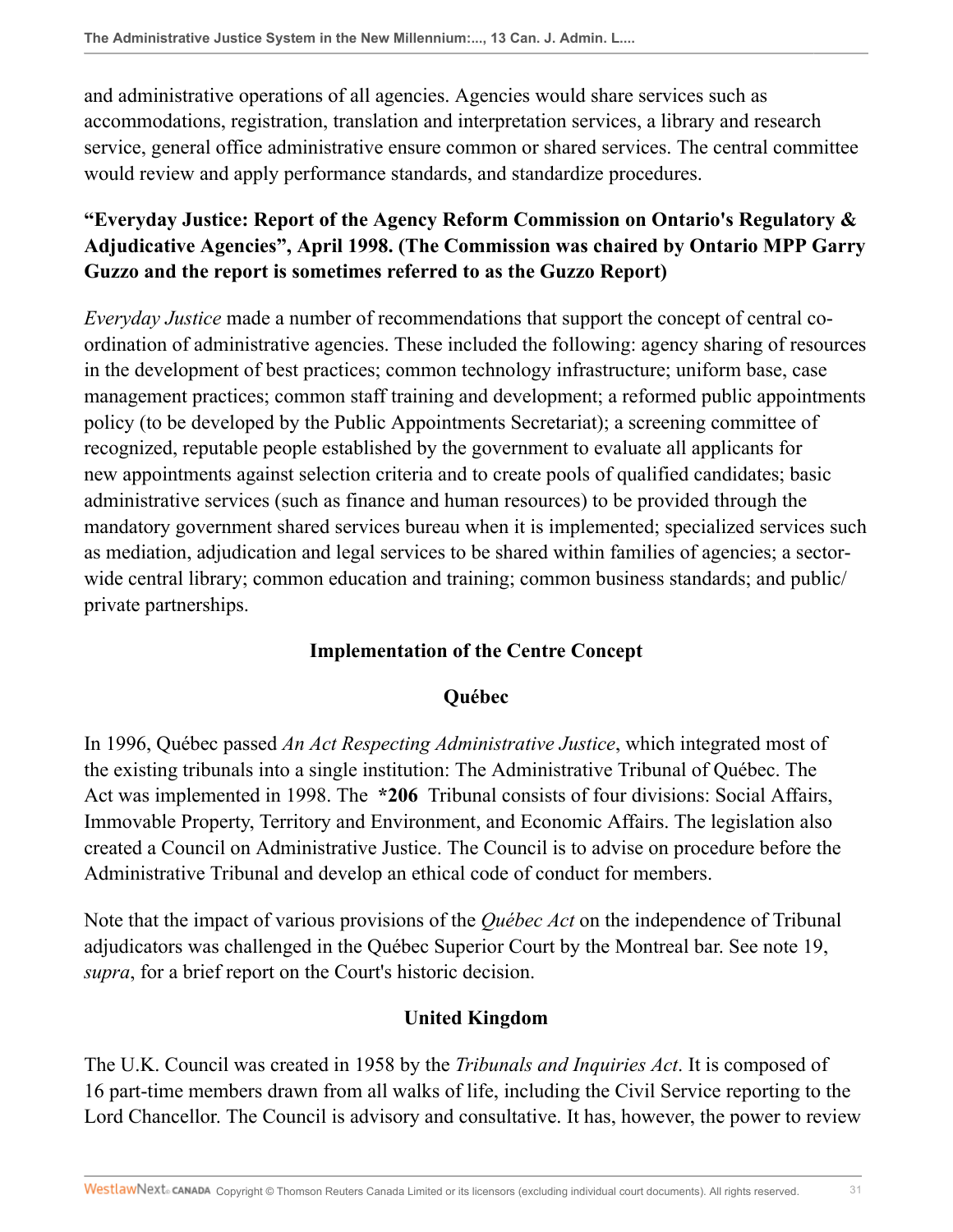and administrative operations of all agencies. Agencies would share services such as accommodations, registration, translation and interpretation services, a library and research service, general office administrative ensure common or shared services. The central committee would review and apply performance standards, and standardize procedures.

# **"Everyday Justice: Report of the Agency Reform Commission on Ontario's Regulatory & Adjudicative Agencies", April 1998. (The Commission was chaired by Ontario MPP Garry Guzzo and the report is sometimes referred to as the Guzzo Report)**

*Everyday Justice* made a number of recommendations that support the concept of central coordination of administrative agencies. These included the following: agency sharing of resources in the development of best practices; common technology infrastructure; uniform base, case management practices; common staff training and development; a reformed public appointments policy (to be developed by the Public Appointments Secretariat); a screening committee of recognized, reputable people established by the government to evaluate all applicants for new appointments against selection criteria and to create pools of qualified candidates; basic administrative services (such as finance and human resources) to be provided through the mandatory government shared services bureau when it is implemented; specialized services such as mediation, adjudication and legal services to be shared within families of agencies; a sectorwide central library; common education and training; common business standards; and public/ private partnerships.

#### **Implementation of the Centre Concept**

#### **Québec**

In 1996, Québec passed *An Act Respecting Administrative Justice*, which integrated most of the existing tribunals into a single institution: The Administrative Tribunal of Québec. The Act was implemented in 1998. The **\*206** Tribunal consists of four divisions: Social Affairs, Immovable Property, Territory and Environment, and Economic Affairs. The legislation also created a Council on Administrative Justice. The Council is to advise on procedure before the Administrative Tribunal and develop an ethical code of conduct for members.

Note that the impact of various provisions of the *Québec Act* on the independence of Tribunal adjudicators was challenged in the Québec Superior Court by the Montreal bar. See note 19, *supra*, for a brief report on the Court's historic decision.

## **United Kingdom**

The U.K. Council was created in 1958 by the *Tribunals and Inquiries Act*. It is composed of 16 part-time members drawn from all walks of life, including the Civil Service reporting to the Lord Chancellor. The Council is advisory and consultative. It has, however, the power to review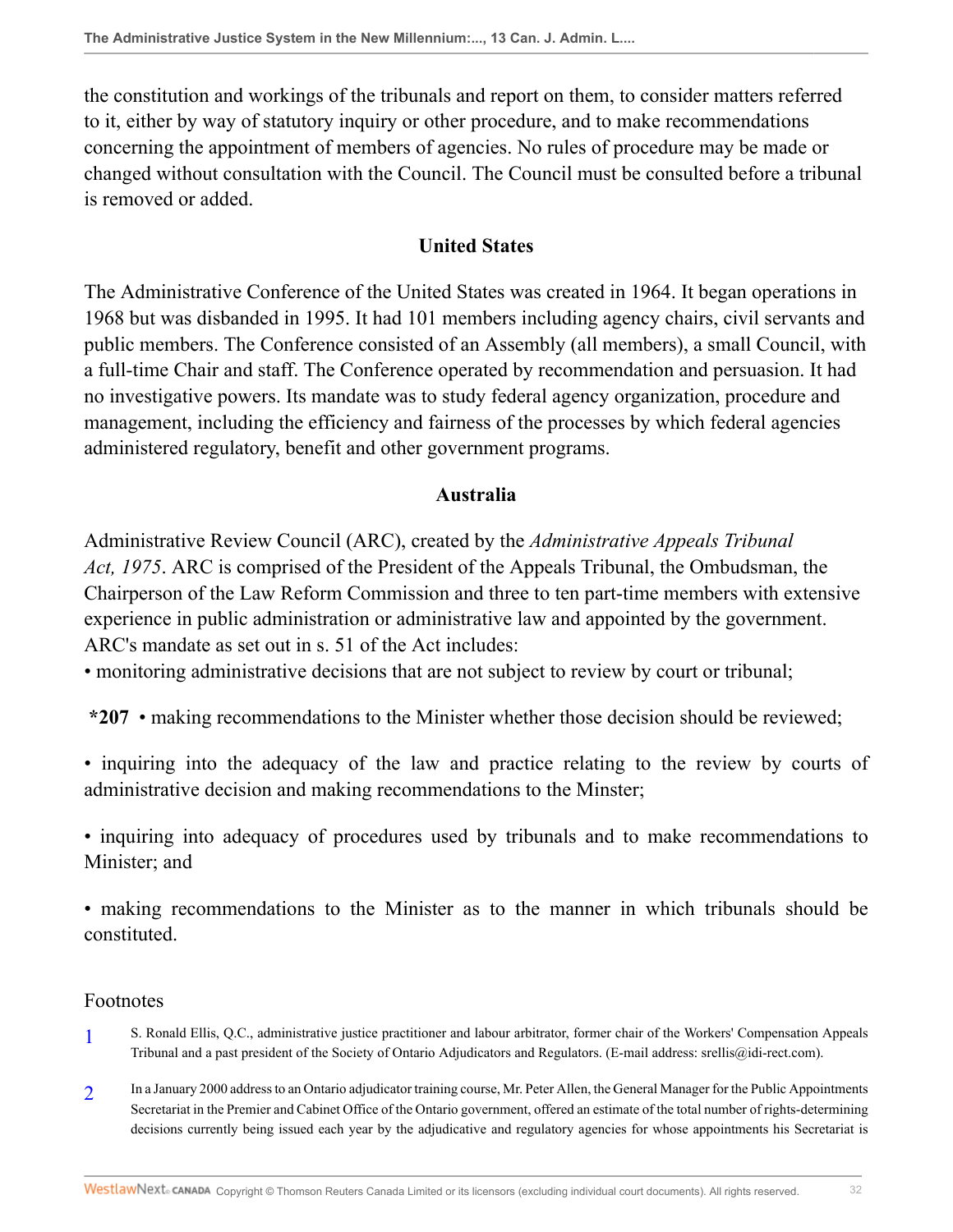the constitution and workings of the tribunals and report on them, to consider matters referred to it, either by way of statutory inquiry or other procedure, and to make recommendations concerning the appointment of members of agencies. No rules of procedure may be made or changed without consultation with the Council. The Council must be consulted before a tribunal is removed or added.

### **United States**

The Administrative Conference of the United States was created in 1964. It began operations in 1968 but was disbanded in 1995. It had 101 members including agency chairs, civil servants and public members. The Conference consisted of an Assembly (all members), a small Council, with a full-time Chair and staff. The Conference operated by recommendation and persuasion. It had no investigative powers. Its mandate was to study federal agency organization, procedure and management, including the efficiency and fairness of the processes by which federal agencies administered regulatory, benefit and other government programs.

#### **Australia**

Administrative Review Council (ARC), created by the *Administrative Appeals Tribunal Act, 1975*. ARC is comprised of the President of the Appeals Tribunal, the Ombudsman, the Chairperson of the Law Reform Commission and three to ten part-time members with extensive experience in public administration or administrative law and appointed by the government. ARC's mandate as set out in s. 51 of the Act includes:

• monitoring administrative decisions that are not subject to review by court or tribunal;

**\*207** • making recommendations to the Minister whether those decision should be reviewed;

• inquiring into the adequacy of the law and practice relating to the review by courts of administrative decision and making recommendations to the Minster;

• inquiring into adequacy of procedures used by tribunals and to make recommendations to Minister; and

• making recommendations to the Minister as to the manner in which tribunals should be constituted.

#### Footnotes

- <span id="page-31-0"></span>[1](#page-0-0) S. Ronald Ellis, Q.C., administrative justice practitioner and labour arbitrator, former chair of the Workers' Compensation Appeals Tribunal and a past president of the Society of Ontario Adjudicators and Regulators. (E-mail address: srellis@idi-rect.com).
- <span id="page-31-1"></span>[2](#page-1-0) In a January 2000 address to an Ontario adjudicator training course, Mr. Peter Allen, the General Manager for the Public Appointments Secretariat in the Premier and Cabinet Office of the Ontario government, offered an estimate of the total number of rights-determining decisions currently being issued each year by the adjudicative and regulatory agencies for whose appointments his Secretariat is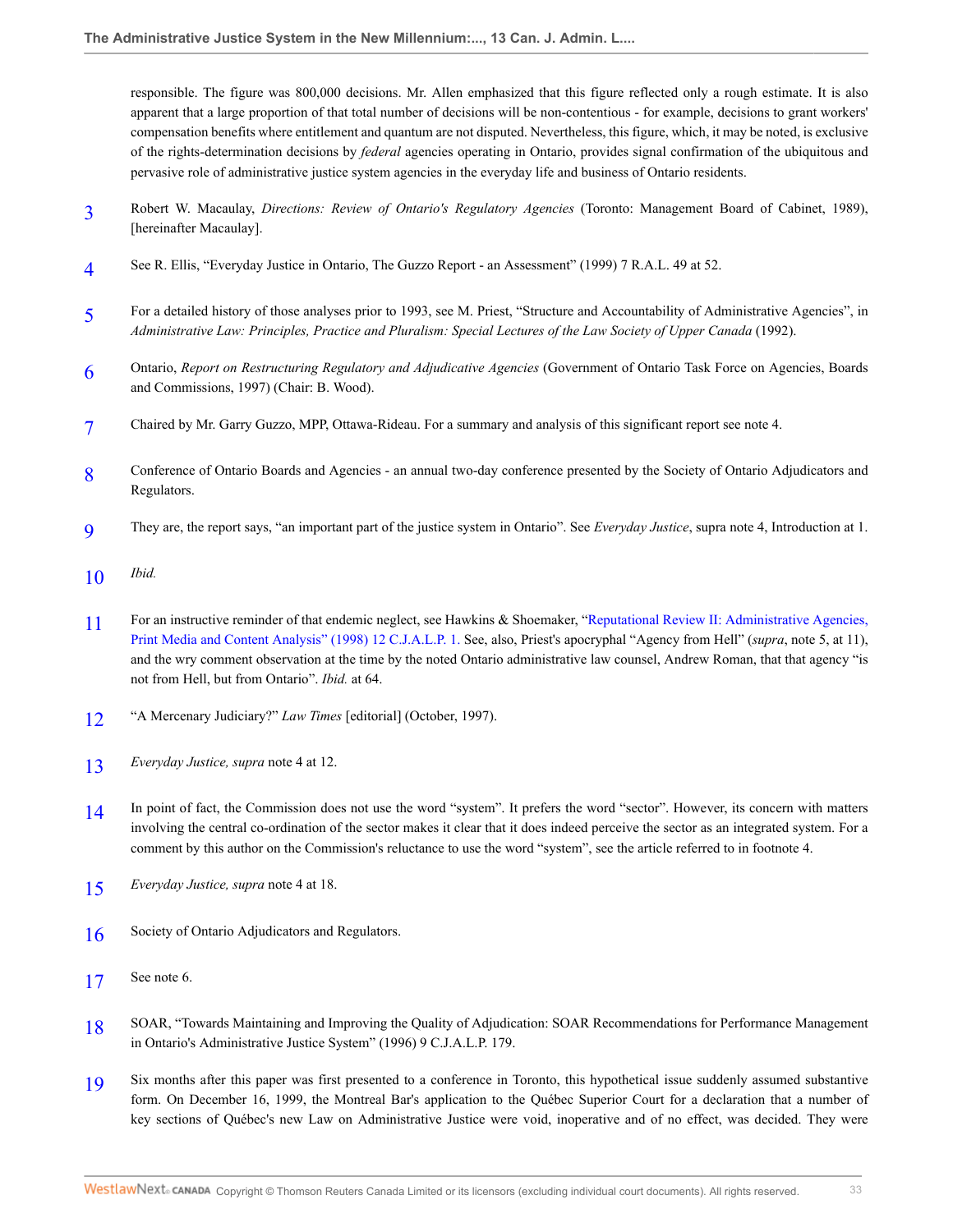responsible. The figure was 800,000 decisions. Mr. Allen emphasized that this figure reflected only a rough estimate. It is also apparent that a large proportion of that total number of decisions will be non-contentious - for example, decisions to grant workers' compensation benefits where entitlement and quantum are not disputed. Nevertheless, this figure, which, it may be noted, is exclusive of the rights-determination decisions by *federal* agencies operating in Ontario, provides signal confirmation of the ubiquitous and pervasive role of administrative justice system agencies in the everyday life and business of Ontario residents.

- <span id="page-32-0"></span>[3](#page-1-1) Robert W. Macaulay, *Directions: Review of Ontario's Regulatory Agencies* (Toronto: Management Board of Cabinet, 1989), [hereinafter Macaulay].
- <span id="page-32-1"></span>[4](#page-1-2) See R. Ellis, "Everyday Justice in Ontario, The Guzzo Report - an Assessment" (1999) 7 R.A.L. 49 at 52.
- <span id="page-32-2"></span>[5](#page-2-0) For a detailed history of those analyses prior to 1993, see M. Priest, "Structure and Accountability of Administrative Agencies", in *Administrative Law: Principles, Practice and Pluralism: Special Lectures of the Law Society of Upper Canada* (1992).
- <span id="page-32-3"></span>[6](#page-2-1) Ontario, *Report on Restructuring Regulatory and Adjudicative Agencies* (Government of Ontario Task Force on Agencies, Boards and Commissions, 1997) (Chair: B. Wood).
- <span id="page-32-4"></span>[7](#page-2-2) Chaired by Mr. Garry Guzzo, MPP, Ottawa-Rideau. For a summary and analysis of this significant report see note 4.
- <span id="page-32-5"></span>[8](#page-2-3) Conference of Ontario Boards and Agencies - an annual two-day conference presented by the Society of Ontario Adjudicators and Regulators.
- <span id="page-32-6"></span>[9](#page-2-4) They are, the report says, "an important part of the justice system in Ontario". See *Everyday Justice*, supra note 4, Introduction at 1.
- <span id="page-32-7"></span>[10](#page-2-5) *Ibid.*
- <span id="page-32-8"></span>[11](#page-3-0) For an instructive reminder of that endemic neglect, see Hawkins & Shoemaker, "[Reputational Review II: Administrative Agencies,](http://nextcanada.westlaw.com/Link/Document/FullText?findType=Y&serNum=0284296781&pubNum=135178&originatingDoc=Ie361ae81436111db876784559e94f880&refType=LR&originationContext=document&vr=3.0&rs=cblt1.0&transitionType=DocumentItem&contextData=(sc.Search)) [Print Media and Content Analysis" \(1998\) 12 C.J.A.L.P. 1.](http://nextcanada.westlaw.com/Link/Document/FullText?findType=Y&serNum=0284296781&pubNum=135178&originatingDoc=Ie361ae81436111db876784559e94f880&refType=LR&originationContext=document&vr=3.0&rs=cblt1.0&transitionType=DocumentItem&contextData=(sc.Search)) See, also, Priest's apocryphal "Agency from Hell" (*supra*, note 5, at 11), and the wry comment observation at the time by the noted Ontario administrative law counsel, Andrew Roman, that that agency "is not from Hell, but from Ontario". *Ibid.* at 64.
- <span id="page-32-9"></span>[12](#page-5-0) "A Mercenary Judiciary?" *Law Times* [editorial] (October, 1997).
- <span id="page-32-10"></span>[13](#page-6-0) *Everyday Justice, supra* note 4 at 12.
- <span id="page-32-11"></span>[14](#page-6-1) In point of fact, the Commission does not use the word "system". It prefers the word "sector". However, its concern with matters involving the central co-ordination of the sector makes it clear that it does indeed perceive the sector as an integrated system. For a comment by this author on the Commission's reluctance to use the word "system", see the article referred to in footnote 4.
- <span id="page-32-12"></span>[15](#page-6-2) *Everyday Justice, supra* note 4 at 18.
- <span id="page-32-13"></span>[16](#page-9-0) Society of Ontario Adjudicators and Regulators.
- <span id="page-32-14"></span>[17](#page-14-0) See note 6.
- <span id="page-32-15"></span>[18](#page-14-1) SOAR, "Towards Maintaining and Improving the Quality of Adjudication: SOAR Recommendations for Performance Management in Ontario's Administrative Justice System" (1996) 9 C.J.A.L.P. 179.
- <span id="page-32-16"></span>[19](#page-14-2) Six months after this paper was first presented to a conference in Toronto, this hypothetical issue suddenly assumed substantive form. On December 16, 1999, the Montreal Bar's application to the Québec Superior Court for a declaration that a number of key sections of Québec's new Law on Administrative Justice were void, inoperative and of no effect, was decided. They were